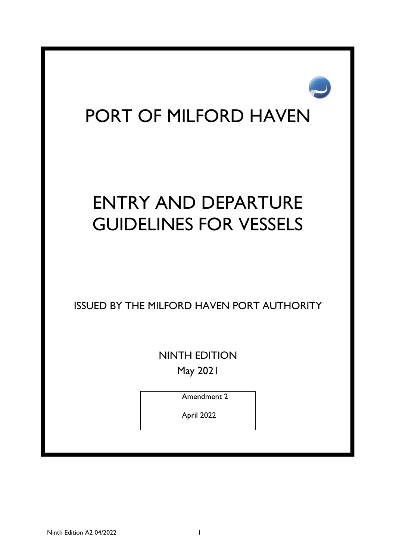

# <span id="page-0-0"></span>PORT OF MILFORD HAVEN

# ENTRY AND DEPARTURE GUIDELINES FOR VESSELS

ISSUED BY THE MILFORD HAVEN PORT AUTHORITY

NINTH EDITION May 2021

Amendment 2

April 2022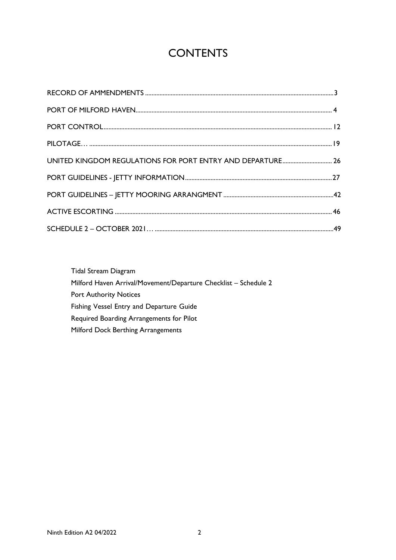## **CONTENTS**

| UNITED KINGDOM REGULATIONS FOR PORT ENTRY AND DEPARTURE 26 |  |
|------------------------------------------------------------|--|
|                                                            |  |
|                                                            |  |
|                                                            |  |
|                                                            |  |

Tidal Stream Diagram Milford Haven Arrival/Movement/Departure Checklist – Schedule 2 Port Authority Notices Fishing Vessel Entry and Departure Guide Required Boarding Arrangements for Pilot Milford Dock Berthing Arrangements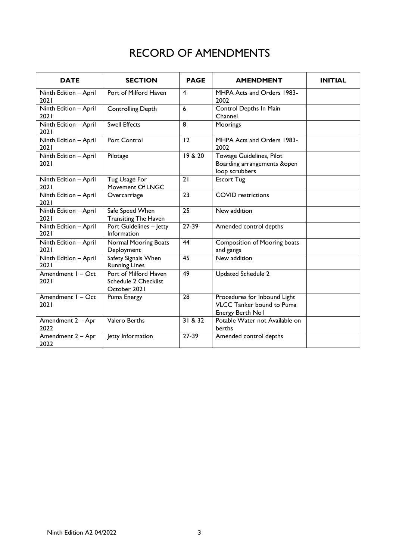## RECORD OF AMENDMENTS

| <b>DATE</b>                   | <b>SECTION</b>                                                | <b>PAGE</b>    | <b>AMENDMENT</b>                                                                     | <b>INITIAL</b> |
|-------------------------------|---------------------------------------------------------------|----------------|--------------------------------------------------------------------------------------|----------------|
| Ninth Edition - April<br>2021 | Port of Milford Haven                                         | $\overline{4}$ | MHPA Acts and Orders 1983-<br>2002                                                   |                |
| Ninth Edition - April<br>2021 | <b>Controlling Depth</b>                                      | 6              | Control Depths In Main<br>Channel                                                    |                |
| Ninth Edition - April<br>2021 | <b>Swell Effects</b>                                          | 8              | Moorings                                                                             |                |
| Ninth Edition - April<br>2021 | Port Control                                                  | 12             | MHPA Acts and Orders 1983-<br>2002                                                   |                |
| Ninth Edition - April<br>2021 | Pilotage                                                      | 19 & 20        | Towage Guidelines, Pilot<br>Boarding arrangements & open<br>loop scrubbers           |                |
| Ninth Edition - April<br>2021 | $\overline{\mathsf{T}}$ ug Usage For<br>Movement Of LNGC      | 21             | <b>Escort Tug</b>                                                                    |                |
| Ninth Edition - April<br>2021 | Overcarriage                                                  | 23             | <b>COVID</b> restrictions                                                            |                |
| Ninth Edition - April<br>2021 | Safe Speed When<br><b>Transiting The Haven</b>                | 25             | New addition                                                                         |                |
| Ninth Edition - April<br>2021 | Port Guidelines - Jetty<br>Information                        | 27-39          | Amended control depths                                                               |                |
| Ninth Edition - April<br>2021 | <b>Normal Mooring Boats</b><br>Deployment                     | 44             | Composition of Mooring boats<br>and gangs                                            |                |
| Ninth Edition - April<br>2021 | Safety Signals When<br><b>Running Lines</b>                   | 45             | New addition                                                                         |                |
| Amendment I - Oct<br>2021     | Port of Milford Haven<br>Schedule 2 Checklist<br>October 2021 | 49             | <b>Updated Schedule 2</b>                                                            |                |
| Amendment I - Oct<br>2021     | Puma Energy                                                   | 28             | Procedures for Inbound Light<br><b>VLCC Tanker bound to Puma</b><br>Energy Berth Nol |                |
| Amendment 2 - Apr<br>2022     | Valero Berths                                                 | 31 & 32        | Potable Water not Available on<br>berths                                             |                |
| Amendment 2 - Apr<br>2022     | Jetty Information                                             | 27-39          | Amended control depths                                                               |                |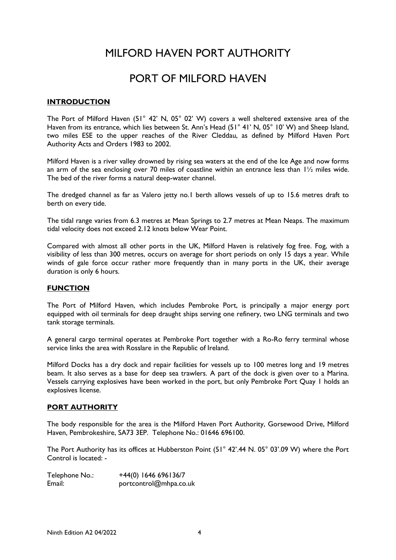### PORT OF MILFORD HAVEN

### **INTRODUCTION**

The Port of Milford Haven (51° 42' N, 05° 02' W) covers a well sheltered extensive area of the Haven from its entrance, which lies between St. Ann's Head (51° 41' N, 05° 10' W) and Sheep Island, two miles ESE to the upper reaches of the River Cleddau, as defined by Milford Haven Port Authority Acts and Orders 1983 to 2002.

Milford Haven is a river valley drowned by rising sea waters at the end of the Ice Age and now forms an arm of the sea enclosing over 70 miles of coastline within an entrance less than 1½ miles wide. The bed of the river forms a natural deep-water channel.

The dredged channel as far as Valero jetty no.1 berth allows vessels of up to 15.6 metres draft to berth on every tide.

The tidal range varies from 6.3 metres at Mean Springs to 2.7 metres at Mean Neaps. The maximum tidal velocity does not exceed 2.12 knots below Wear Point.

Compared with almost all other ports in the UK, Milford Haven is relatively fog free. Fog, with a visibility of less than 300 metres, occurs on average for short periods on only 15 days a year. While winds of gale force occur rather more frequently than in many ports in the UK, their average duration is only 6 hours.

### **FUNCTION**

The Port of Milford Haven, which includes Pembroke Port, is principally a major energy port equipped with oil terminals for deep draught ships serving one refinery, two LNG terminals and two tank storage terminals.

A general cargo terminal operates at Pembroke Port together with a Ro-Ro ferry terminal whose service links the area with Rosslare in the Republic of Ireland.

Milford Docks has a dry dock and repair facilities for vessels up to 100 metres long and 19 metres beam. It also serves as a base for deep sea trawlers. A part of the dock is given over to a Marina. Vessels carrying explosives have been worked in the port, but only Pembroke Port Quay 1 holds an explosives license.

### **PORT AUTHORITY**

The body responsible for the area is the Milford Haven Port Authority, Gorsewood Drive, Milford Haven, Pembrokeshire, SA73 3EP. Telephone No.: 01646 696100.

The Port Authority has its offices at Hubberston Point (51° 42'.44 N. 05° 03'.09 W) where the Port Control is located: -

| Telephone No.: | +44(0) 1646 696136/7   |
|----------------|------------------------|
| Email:         | portcontrol@mhpa.co.uk |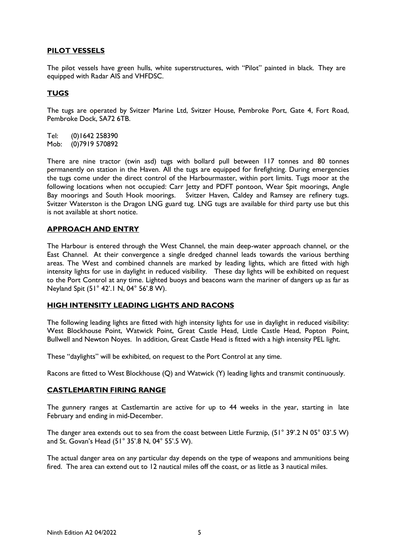### **PILOT VESSELS**

The pilot vessels have green hulls, white superstructures, with "Pilot" painted in black. They are equipped with Radar AIS and VHFDSC.

### **TUGS**

The tugs are operated by Svitzer Marine Ltd, Svitzer House, Pembroke Port, Gate 4, Fort Road, Pembroke Dock, SA72 6TB.

Tel: (0)1642 258390 Mob: (0)7919 570892

There are nine tractor (twin asd) tugs with bollard pull between 117 tonnes and 80 tonnes permanently on station in the Haven. All the tugs are equipped for firefighting. During emergencies the tugs come under the direct control of the Harbourmaster, within port limits. Tugs moor at the following locations when not occupied: Carr Jetty and PDFT pontoon, Wear Spit moorings, Angle Bay moorings and South Hook moorings. Svitzer Haven, Caldey and Ramsey are refinery tugs. Svitzer Waterston is the Dragon LNG guard tug. LNG tugs are available for third party use but this is not available at short notice.

### **APPROACH AND ENTRY**

The Harbour is entered through the West Channel, the main deep-water approach channel, or the East Channel. At their convergence a single dredged channel leads towards the various berthing areas. The West and combined channels are marked by leading lights, which are fitted with high intensity lights for use in daylight in reduced visibility. These day lights will be exhibited on request to the Port Control at any time. Lighted buoys and beacons warn the mariner of dangers up as far as Neyland Spit (51° 42'.1 N, 04° 56'.8 W).

### **HIGH INTENSITY LEADING LIGHTS AND RACONS**

The following leading lights are fitted with high intensity lights for use in daylight in reduced visibility: West Blockhouse Point, Watwick Point, Great Castle Head, Little Castle Head, Popton Point, Bullwell and Newton Noyes. In addition, Great Castle Head is fitted with a high intensity PEL light.

These "daylights" will be exhibited, on request to the Port Control at any time.

Racons are fitted to West Blockhouse (Q) and Watwick (Y) leading lights and transmit continuously.

### **CASTLEMARTIN FIRING RANGE**

The gunnery ranges at Castlemartin are active for up to 44 weeks in the year, starting in late February and ending in mid-December.

The danger area extends out to sea from the coast between Little Furznip, (51° 39'.2 N 05° 03'.5 W) and St. Govan's Head (51° 35'.8 N, 04° 55'.5 W).

The actual danger area on any particular day depends on the type of weapons and ammunitions being fired. The area can extend out to 12 nautical miles off the coast, or as little as 3 nautical miles.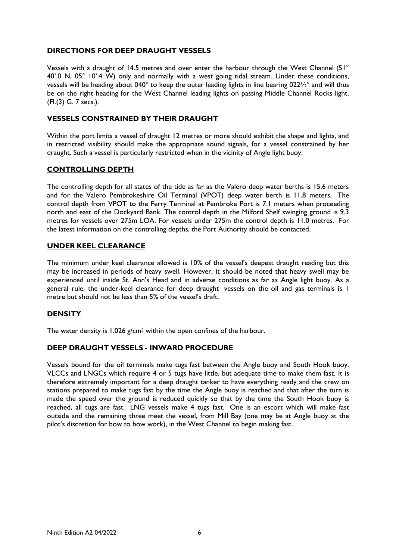### **DIRECTIONS FOR DEEP DRAUGHT VESSELS**

Vessels with a draught of 14.5 metres and over enter the harbour through the West Channel (51° 40'.0 N, 05° 10'.4 W) only and normally with a west going tidal stream. Under these conditions, vessels will be heading about 040° to keep the outer leading lights in line bearing 022½° and will thus be on the right heading for the West Channel leading lights on passing Middle Channel Rocks light. (Fl.(3) G. 7 secs.).

### **VESSELS CONSTRAINED BY THEIR DRAUGHT**

Within the port limits a vessel of draught 12 metres or more should exhibit the shape and lights, and in restricted visibility should make the appropriate sound signals, for a vessel constrained by her draught. Such a vessel is particularly restricted when in the vicinity of Angle light buoy.

### **CONTROLLING DEPTH**

The controlling depth for all states of the tide as far as the Valero deep water berths is 15.6 meters and for the Valero Pembrokeshire Oil Terminal (VPOT) deep water berth is 11.8 meters. The control depth from VPOT to the Ferry Terminal at Pembroke Port is 7.1 meters when proceeding north and east of the Dockyard Bank. The control depth in the Milford Shelf swinging ground is 9.3 metres for vessels over 275m LOA. For vessels under 275m the control depth is 11.0 metres. For the latest information on the controlling depths, the Port Authority should be contacted.

### **UNDER KEEL CLEARANCE**

The minimum under keel clearance allowed is 10% of the vessel's deepest draught reading but this may be increased in periods of heavy swell. However, it should be noted that heavy swell may be experienced until inside St. Ann's Head and in adverse conditions as far as Angle light buoy. As a general rule, the under-keel clearance for deep draught vessels on the oil and gas terminals is 1 metre but should not be less than 5% of the vessel's draft.

### **DENSITY**

The water density is 1.026 g/cm<sup>3</sup> within the open confines of the harbour.

### **DEEP DRAUGHT VESSELS - INWARD PROCEDURE**

Vessels bound for the oil terminals make tugs fast between the Angle buoy and South Hook buoy. VLCCs and LNGCs which require 4 or 5 tugs have little, but adequate time to make them fast. It is therefore extremely important for a deep draught tanker to have everything ready and the crew on stations prepared to make tugs fast by the time the Angle buoy is reached and that after the turn is made the speed over the ground is reduced quickly so that by the time the South Hook buoy is reached, all tugs are fast. LNG vessels make 4 tugs fast. One is an escort which will make fast outside and the remaining three meet the vessel, from Mill Bay (one may be at Angle buoy at the pilot's discretion for bow to bow work), in the West Channel to begin making fast.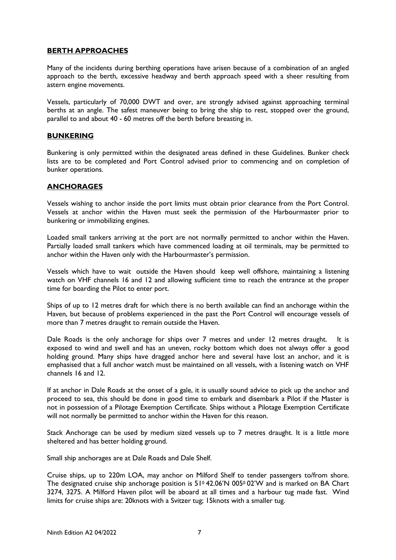### **BERTH APPROACHES**

Many of the incidents during berthing operations have arisen because of a combination of an angled approach to the berth, excessive headway and berth approach speed with a sheer resulting from astern engine movements.

Vessels, particularly of 70,000 DWT and over, are strongly advised against approaching terminal berths at an angle. The safest maneuver being to bring the ship to rest, stopped over the ground, parallel to and about 40 - 60 metres off the berth before breasting in.

### **BUNKERING**

Bunkering is only permitted within the designated areas defined in these Guidelines. Bunker check lists are to be completed and Port Control advised prior to commencing and on completion of bunker operations.

### **ANCHORAGES**

Vessels wishing to anchor inside the port limits must obtain prior clearance from the Port Control. Vessels at anchor within the Haven must seek the permission of the Harbourmaster prior to bunkering or immobilizing engines.

Loaded small tankers arriving at the port are not normally permitted to anchor within the Haven. Partially loaded small tankers which have commenced loading at oil terminals, may be permitted to anchor within the Haven only with the Harbourmaster's permission.

Vessels which have to wait outside the Haven should keep well offshore, maintaining a listening watch on VHF channels 16 and 12 and allowing sufficient time to reach the entrance at the proper time for boarding the Pilot to enter port.

Ships of up to 12 metres draft for which there is no berth available can find an anchorage within the Haven, but because of problems experienced in the past the Port Control will encourage vessels of more than 7 metres draught to remain outside the Haven.

Dale Roads is the only anchorage for ships over 7 metres and under 12 metres draught. It is exposed to wind and swell and has an uneven, rocky bottom which does not always offer a good holding ground. Many ships have dragged anchor here and several have lost an anchor, and it is emphasised that a full anchor watch must be maintained on all vessels, with a listening watch on VHF channels 16 and 12.

If at anchor in Dale Roads at the onset of a gale, it is usually sound advice to pick up the anchor and proceed to sea, this should be done in good time to embark and disembark a Pilot if the Master is not in possession of a Pilotage Exemption Certificate. Ships without a Pilotage Exemption Certificate will not normally be permitted to anchor within the Haven for this reason.

Stack Anchorage can be used by medium sized vessels up to 7 metres draught. It is a little more sheltered and has better holding ground.

Small ship anchorages are at Dale Roads and Dale Shelf.

Cruise ships, up to 220m LOA, may anchor on Milford Shelf to tender passengers to/from shore. The designated cruise ship anchorage position is 51<sup>0</sup> 42.06'N 005<sup>0</sup> 02'W and is marked on BA Chart 3274, 3275. A Milford Haven pilot will be aboard at all times and a harbour tug made fast. Wind limits for cruise ships are: 20knots with a Svitzer tug; 15knots with a smaller tug.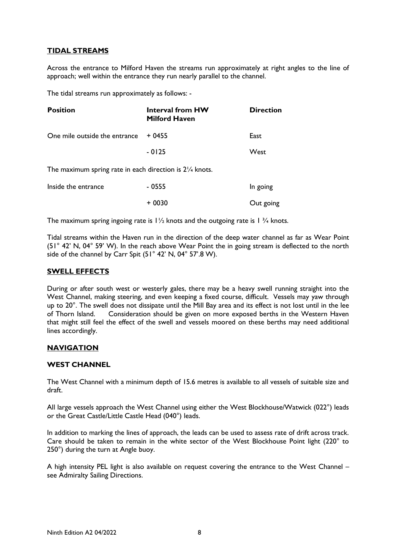### **TIDAL STREAMS**

Across the entrance to Milford Haven the streams run approximately at right angles to the line of approach; well within the entrance they run nearly parallel to the channel.

The tidal streams run approximately as follows: -

| <b>Position</b>                                                    | Interval from HW<br><b>Milford Haven</b> | <b>Direction</b> |
|--------------------------------------------------------------------|------------------------------------------|------------------|
| One mile outside the entrance                                      | $+0455$                                  | East             |
|                                                                    | $-0125$                                  | <b>West</b>      |
| The maximum spring rate in each direction is $2\frac{1}{4}$ knots. |                                          |                  |
| Inside the entrance                                                | - 0555                                   | In going         |
|                                                                    | $+0030$                                  | Out going        |

The maximum spring ingoing rate is  $1\frac{1}{2}$  knots and the outgoing rate is  $1\frac{3}{4}$  knots.

Tidal streams within the Haven run in the direction of the deep water channel as far as Wear Point (51° 42' N, 04° 59' W). In the reach above Wear Point the in going stream is deflected to the north side of the channel by Carr Spit (51° 42' N, 04° 57'.8 W).

### **SWELL EFFECTS**

During or after south west or westerly gales, there may be a heavy swell running straight into the West Channel, making steering, and even keeping a fixed course, difficult. Vessels may yaw through up to 20°. The swell does not dissipate until the Mill Bay area and its effect is not lost until in the lee of Thorn Island. Consideration should be given on more exposed berths in the Western Haven that might still feel the effect of the swell and vessels moored on these berths may need additional lines accordingly.

### **NAVIGATION**

### **WEST CHANNEL**

The West Channel with a minimum depth of 15.6 metres is available to all vessels of suitable size and draft.

All large vessels approach the West Channel using either the West Blockhouse/Watwick (022°) leads or the Great Castle/Little Castle Head (040°) leads.

In addition to marking the lines of approach, the leads can be used to assess rate of drift across track. Care should be taken to remain in the white sector of the West Blockhouse Point light (220° to 250°) during the turn at Angle buoy.

A high intensity PEL light is also available on request covering the entrance to the West Channel – see Admiralty Sailing Directions.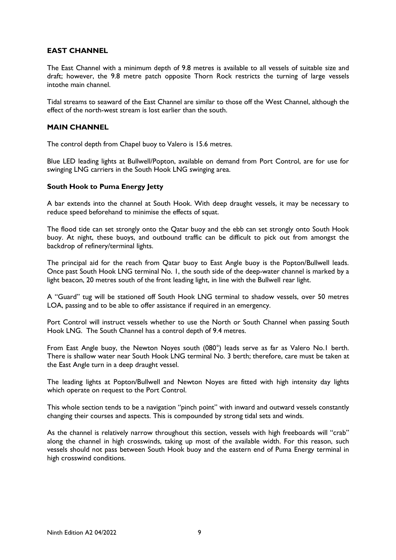### **EAST CHANNEL**

The East Channel with a minimum depth of 9.8 metres is available to all vessels of suitable size and draft; however, the 9.8 metre patch opposite Thorn Rock restricts the turning of large vessels intothe main channel.

Tidal streams to seaward of the East Channel are similar to those off the West Channel, although the effect of the north-west stream is lost earlier than the south.

### **MAIN CHANNEL**

The control depth from Chapel buoy to Valero is 15.6 metres.

Blue LED leading lights at Bullwell/Popton, available on demand from Port Control, are for use for swinging LNG carriers in the South Hook LNG swinging area.

### **South Hook to Puma Energy Jetty**

A bar extends into the channel at South Hook. With deep draught vessels, it may be necessary to reduce speed beforehand to minimise the effects of squat.

The flood tide can set strongly onto the Qatar buoy and the ebb can set strongly onto South Hook buoy. At night, these buoys, and outbound traffic can be difficult to pick out from amongst the backdrop of refinery/terminal lights.

The principal aid for the reach from Qatar buoy to East Angle buoy is the Popton/Bullwell leads. Once past South Hook LNG terminal No. 1, the south side of the deep-water channel is marked by a light beacon, 20 metres south of the front leading light, in line with the Bullwell rear light.

A "Guard" tug will be stationed off South Hook LNG terminal to shadow vessels, over 50 metres LOA, passing and to be able to offer assistance if required in an emergency.

Port Control will instruct vessels whether to use the North or South Channel when passing South Hook LNG. The South Channel has a control depth of 9.4 metres.

From East Angle buoy, the Newton Noyes south (080°) leads serve as far as Valero No.1 berth. There is shallow water near South Hook LNG terminal No. 3 berth; therefore, care must be taken at the East Angle turn in a deep draught vessel.

The leading lights at Popton/Bullwell and Newton Noyes are fitted with high intensity day lights which operate on request to the Port Control.

This whole section tends to be a navigation "pinch point" with inward and outward vessels constantly changing their courses and aspects. This is compounded by strong tidal sets and winds.

As the channel is relatively narrow throughout this section, vessels with high freeboards will "crab" along the channel in high crosswinds, taking up most of the available width. For this reason, such vessels should not pass between South Hook buoy and the eastern end of Puma Energy terminal in high crosswind conditions.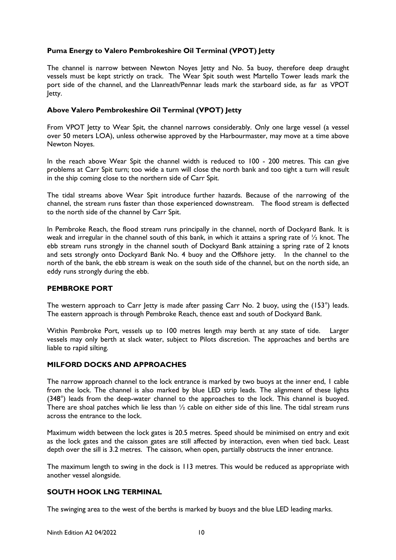### **Puma Energy to Valero Pembrokeshire Oil Terminal (VPOT) Jetty**

The channel is narrow between Newton Noyes Jetty and No. 5a buoy, therefore deep draught vessels must be kept strictly on track. The Wear Spit south west Martello Tower leads mark the port side of the channel, and the Llanreath/Pennar leads mark the starboard side, as far as VPOT Jetty.

### **Above Valero Pembrokeshire Oil Terminal (VPOT) Jetty**

From VPOT Jetty to Wear Spit, the channel narrows considerably. Only one large vessel (a vessel over 50 meters LOA), unless otherwise approved by the Harbourmaster, may move at a time above Newton Noyes.

In the reach above Wear Spit the channel width is reduced to 100 - 200 metres. This can give problems at Carr Spit turn; too wide a turn will close the north bank and too tight a turn will result in the ship coming close to the northern side of Carr Spit.

The tidal streams above Wear Spit introduce further hazards. Because of the narrowing of the channel, the stream runs faster than those experienced downstream. The flood stream is deflected to the north side of the channel by Carr Spit.

In Pembroke Reach, the flood stream runs principally in the channel, north of Dockyard Bank. It is weak and irregular in the channel south of this bank, in which it attains a spring rate of ½ knot. The ebb stream runs strongly in the channel south of Dockyard Bank attaining a spring rate of 2 knots and sets strongly onto Dockyard Bank No. 4 buoy and the Offshore jetty. In the channel to the north of the bank, the ebb stream is weak on the south side of the channel, but on the north side, an eddy runs strongly during the ebb.

### **PEMBROKE PORT**

The western approach to Carr Jetty is made after passing Carr No. 2 buoy, using the (153°) leads. The eastern approach is through Pembroke Reach, thence east and south of Dockyard Bank.

Within Pembroke Port, vessels up to 100 metres length may berth at any state of tide. Larger vessels may only berth at slack water, subject to Pilots discretion. The approaches and berths are liable to rapid silting.

### **MILFORD DOCKS AND APPROACHES**

The narrow approach channel to the lock entrance is marked by two buoys at the inner end, 1 cable from the lock. The channel is also marked by blue LED strip leads. The alignment of these lights (348°) leads from the deep-water channel to the approaches to the lock. This channel is buoyed. There are shoal patches which lie less than  $\frac{1}{2}$  cable on either side of this line. The tidal stream runs across the entrance to the lock.

Maximum width between the lock gates is 20.5 metres. Speed should be minimised on entry and exit as the lock gates and the caisson gates are still affected by interaction, even when tied back. Least depth over the sill is 3.2 metres. The caisson, when open, partially obstructs the inner entrance.

The maximum length to swing in the dock is 113 metres. This would be reduced as appropriate with another vessel alongside.

### **SOUTH HOOK LNG TERMINAL**

The swinging area to the west of the berths is marked by buoys and the blue LED leading marks.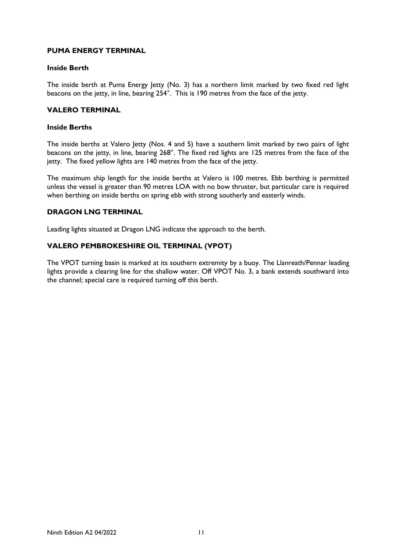### **PUMA ENERGY TERMINAL**

### **Inside Berth**

The inside berth at Puma Energy Jetty (No. 3) has a northern limit marked by two fixed red light beacons on the jetty, in line, bearing 254°. This is 190 metres from the face of the jetty.

### **VALERO TERMINAL**

#### **Inside Berths**

The inside berths at Valero Jetty (Nos. 4 and 5) have a southern limit marked by two pairs of light beacons on the jetty, in line, bearing 268°. The fixed red lights are 125 metres from the face of the jetty. The fixed yellow lights are 140 metres from the face of the jetty.

The maximum ship length for the inside berths at Valero is 100 metres. Ebb berthing is permitted unless the vessel is greater than 90 metres LOA with no bow thruster, but particular care is required when berthing on inside berths on spring ebb with strong southerly and easterly winds.

### **DRAGON LNG TERMINAL**

Leading lights situated at Dragon LNG indicate the approach to the berth.

### **VALERO PEMBROKESHIRE OIL TERMINAL (VPOT)**

The VPOT turning basin is marked at its southern extremity by a buoy. The Llanreath/Pennar leading lights provide a clearing line for the shallow water. Off VPOT No. 3, a bank extends southward into the channel; special care is required turning off this berth.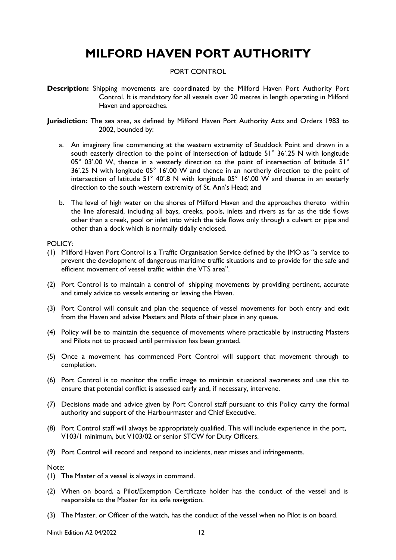### PORT CONTROL

- **Description:** Shipping movements are coordinated by the Milford Haven Port Authority Port Control. It is mandatory for all vessels over 20 metres in length operating in Milford Haven and approaches.
- **Jurisdiction:** The sea area, as defined by Milford Haven Port Authority Acts and Orders 1983 to 2002, bounded by:
	- a. An imaginary line commencing at the western extremity of Studdock Point and drawn in a south easterly direction to the point of intersection of latitude 51° 36'.25 N with longitude 05° 03'.00 W, thence in a westerly direction to the point of intersection of latitude 51° 36'.25 N with longitude 05° 16'.00 W and thence in an northerly direction to the point of intersection of latitude 51° 40'.8 N with longitude 05° 16'.00 W and thence in an easterly direction to the south western extremity of St. Ann's Head; and
	- b. The level of high water on the shores of Milford Haven and the approaches thereto within the line aforesaid, including all bays, creeks, pools, inlets and rivers as far as the tide flows other than a creek, pool or inlet into which the tide flows only through a culvert or pipe and other than a dock which is normally tidally enclosed.

POLICY:

- (1) Milford Haven Port Control is a Traffic Organisation Service defined by the IMO as "a service to prevent the development of dangerous maritime traffic situations and to provide for the safe and efficient movement of vessel traffic within the VTS area".
- (2) Port Control is to maintain a control of shipping movements by providing pertinent, accurate and timely advice to vessels entering or leaving the Haven.
- (3) Port Control will consult and plan the sequence of vessel movements for both entry and exit from the Haven and advise Masters and Pilots of their place in any queue.
- (4) Policy will be to maintain the sequence of movements where practicable by instructing Masters and Pilots not to proceed until permission has been granted.
- (5) Once a movement has commenced Port Control will support that movement through to completion.
- (6) Port Control is to monitor the traffic image to maintain situational awareness and use this to ensure that potential conflict is assessed early and, if necessary, intervene.
- (7) Decisions made and advice given by Port Control staff pursuant to this Policy carry the formal authority and support of the Harbourmaster and Chief Executive.
- (8) Port Control staff will always be appropriately qualified. This will include experience in the port, V103/1 minimum, but V103/02 or senior STCW for Duty Officers.
- (9) Port Control will record and respond to incidents, near misses and infringements.

Note:

- (1) The Master of a vessel is always in command.
- (2) When on board, a Pilot/Exemption Certificate holder has the conduct of the vessel and is responsible to the Master for its safe navigation.
- (3) The Master, or Officer of the watch, has the conduct of the vessel when no Pilot is on board.

Ninth Edition A2 04/2022 12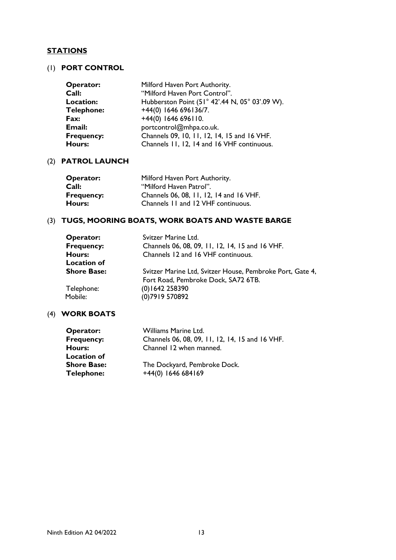### **STATIONS**

### (1) **PORT CONTROL**

| Operator:         | Milford Haven Port Authority.                  |
|-------------------|------------------------------------------------|
| Call:             | "Milford Haven Port Control".                  |
| <b>Location:</b>  | Hubberston Point (51° 42'.44 N, 05° 03'.09 W). |
| <b>Telephone:</b> | $+44(0)$ 1646 696136/7.                        |
| Fax:              | $+44(0)$ 1646 696110.                          |
| Email:            | portcontrol@mhpa.co.uk.                        |
| <b>Frequency:</b> | Channels 09, 10, 11, 12, 14, 15 and 16 VHF.    |
| <b>Hours:</b>     | Channels 11, 12, 14 and 16 VHF continuous.     |

### (2) **PATROL LAUNCH**

| Operator:         | Milford Haven Port Authority.           |  |
|-------------------|-----------------------------------------|--|
| Call:             | "Milford Haven Patrol".                 |  |
| <b>Frequency:</b> | Channels 06, 08, 11, 12, 14 and 16 VHF. |  |
| Hours:            | Channels 11 and 12 VHF continuous.      |  |

### (3) **TUGS, MOORING BOATS, WORK BOATS AND WASTE BARGE**

| Svitzer Marine Ltd.                                                                              |
|--------------------------------------------------------------------------------------------------|
| Channels 06, 08, 09, 11, 12, 14, 15 and 16 VHF.                                                  |
| Channels 12 and 16 VHF continuous.                                                               |
|                                                                                                  |
| Svitzer Marine Ltd, Svitzer House, Pembroke Port, Gate 4,<br>Fort Road, Pembroke Dock, SA72 6TB. |
| $(0)$ 1642 258390                                                                                |
| (0)7919 570892                                                                                   |
|                                                                                                  |

### (4) **WORK BOATS**

| <b>Operator:</b>   | Williams Marine Ltd.                            |
|--------------------|-------------------------------------------------|
| <b>Frequency:</b>  | Channels 06, 08, 09, 11, 12, 14, 15 and 16 VHF. |
| Hours:             | Channel 12 when manned.                         |
| <b>Location of</b> |                                                 |
| <b>Shore Base:</b> | The Dockyard, Pembroke Dock.                    |
| <b>Telephone:</b>  | +44(0) 1646 684 169                             |
|                    |                                                 |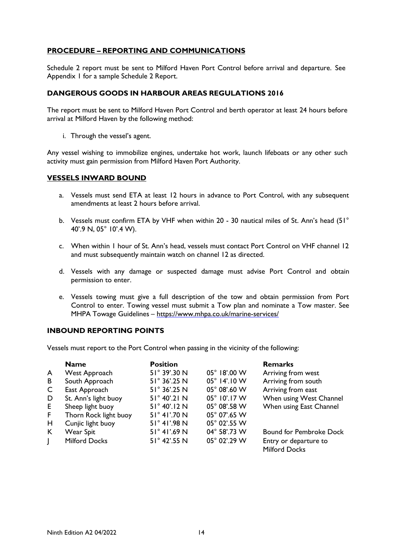### **PROCEDURE – REPORTING AND COMMUNICATIONS**

Schedule 2 report must be sent to Milford Haven Port Control before arrival and departure. See Appendix 1 for a sample Schedule 2 Report.

### **DANGEROUS GOODS IN HARBOUR AREAS REGULATIONS 2016**

The report must be sent to Milford Haven Port Control and berth operator at least 24 hours before arrival at Milford Haven by the following method:

i. Through the vessel's agent.

Any vessel wishing to immobilize engines, undertake hot work, launch lifeboats or any other such activity must gain permission from Milford Haven Port Authority.

### **VESSELS INWARD BOUND**

- a. Vessels must send ETA at least 12 hours in advance to Port Control, with any subsequent amendments at least 2 hours before arrival.
- b. Vessels must confirm ETA by VHF when within 20 30 nautical miles of St. Ann's head (51° 40'.9 N, 05° 10'.4 W).
- c. When within 1 hour of St. Ann's head, vessels must contact Port Control on VHF channel 12 and must subsequently maintain watch on channel 12 as directed.
- d. Vessels with any damage or suspected damage must advise Port Control and obtain permission to enter.
- e. Vessels towing must give a full description of the tow and obtain permission from Port Control to enter. Towing vessel must submit a Tow plan and nominate a Tow master. See MHPA Towage Guidelines – <https://www.mhpa.co.uk/marine-services/>

### **INBOUND REPORTING POINTS**

Vessels must report to the Port Control when passing in the vicinity of the following:

|    | <b>Name</b>           | <b>Position</b>       |              | <b>Remarks</b>                                |
|----|-----------------------|-----------------------|--------------|-----------------------------------------------|
| A  | West Approach         | 51° 39'.30 N          | 05° 18'.00 W | Arriving from west                            |
| B  | South Approach        | 51° 36'.25 N          | 05° 14'.10 W | Arriving from south                           |
| C  | East Approach         | 51° 36'.25 N          | 05° 08'.60 W | Arriving from east                            |
| D  | St. Ann's light buoy  | $51^{\circ}$ 40'.21 N | 05° 10'.17 W | When using West Channel                       |
| E. | Sheep light buoy      | $51^{\circ}$ 40'.12 N | 05° 08'.58 W | When using East Channel                       |
| F. | Thorn Rock light buoy | 51° 41'.70 N          | 05° 07'.65 W |                                               |
| H  | Cunjic light buoy     | 51° 41'.98 N          | 05° 02'.55 W |                                               |
| K  | Wear Spit             | 51° 41'.69 N          | 04° 58'.73 W | Bound for Pembroke Dock                       |
|    | <b>Milford Docks</b>  | 51° 42'.55 N          | 05° 02'.29 W | Entry or departure to<br><b>Milford Docks</b> |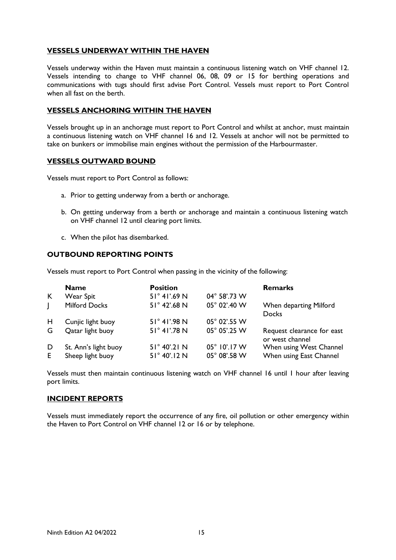### **VESSELS UNDERWAY WITHIN THE HAVEN**

Vessels underway within the Haven must maintain a continuous listening watch on VHF channel 12. Vessels intending to change to VHF channel 06, 08, 09 or 15 for berthing operations and communications with tugs should first advise Port Control. Vessels must report to Port Control when all fast on the berth.

### **VESSELS ANCHORING WITHIN THE HAVEN**

Vessels brought up in an anchorage must report to Port Control and whilst at anchor, must maintain a continuous listening watch on VHF channel 16 and 12. Vessels at anchor will not be permitted to take on bunkers or immobilise main engines without the permission of the Harbourmaster.

### **VESSELS OUTWARD BOUND**

Vessels must report to Port Control as follows:

- a. Prior to getting underway from a berth or anchorage.
- b. On getting underway from a berth or anchorage and maintain a continuous listening watch on VHF channel 12 until clearing port limits.
- c. When the pilot has disembarked.

### **OUTBOUND REPORTING POINTS**

Vessels must report to Port Control when passing in the vicinity of the following:

|    | <b>Name</b>          | <b>Position</b>       |              | <b>Remarks</b>                                |
|----|----------------------|-----------------------|--------------|-----------------------------------------------|
| K. | Wear Spit            | 51° 41'.69 N          | 04° 58'.73 W |                                               |
|    | <b>Milford Docks</b> | 51° 42'.68 N          | 05° 02'.40 W | When departing Milford                        |
|    |                      |                       |              | <b>Docks</b>                                  |
| H. | Cunjic light buoy    | 51° 41'.98 N          | 05° 02'.55 W |                                               |
| G. | Qatar light buoy     | 51° 41'.78 N          | 05° 05'.25 W | Request clearance for east<br>or west channel |
| D  | St. Ann's light buoy | $51^{\circ}$ 40'.21 N | 05° 10'.17 W | When using West Channel                       |
| E. | Sheep light buoy     | 51° 40'.12 N          | 05° 08'.58 W | When using East Channel                       |

Vessels must then maintain continuous listening watch on VHF channel 16 until 1 hour after leaving port limits.

### **INCIDENT REPORTS**

Vessels must immediately report the occurrence of any fire, oil pollution or other emergency within the Haven to Port Control on VHF channel 12 or 16 or by telephone.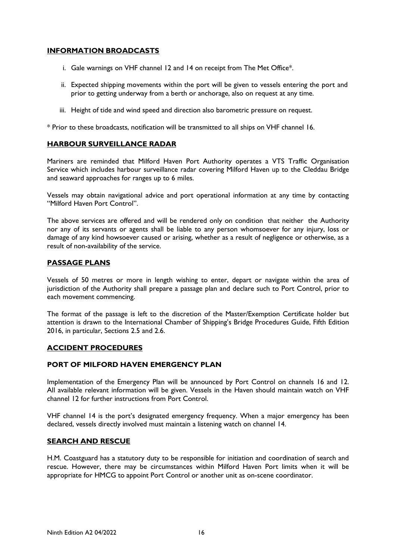### **INFORMATION BROADCASTS**

- i. Gale warnings on VHF channel 12 and 14 on receipt from The Met Office\*.
- ii. Expected shipping movements within the port will be given to vessels entering the port and prior to getting underway from a berth or anchorage, also on request at any time.
- iii. Height of tide and wind speed and direction also barometric pressure on request.

\* Prior to these broadcasts, notification will be transmitted to all ships on VHF channel 16.

### **HARBOUR SURVEILLANCE RADAR**

Mariners are reminded that Milford Haven Port Authority operates a VTS Traffic Organisation Service which includes harbour surveillance radar covering Milford Haven up to the Cleddau Bridge and seaward approaches for ranges up to 6 miles.

Vessels may obtain navigational advice and port operational information at any time by contacting "Milford Haven Port Control".

The above services are offered and will be rendered only on condition that neither the Authority nor any of its servants or agents shall be liable to any person whomsoever for any injury, loss or damage of any kind howsoever caused or arising, whether as a result of negligence or otherwise, as a result of non-availability of the service.

### **PASSAGE PLANS**

Vessels of 50 metres or more in length wishing to enter, depart or navigate within the area of jurisdiction of the Authority shall prepare a passage plan and declare such to Port Control, prior to each movement commencing.

The format of the passage is left to the discretion of the Master/Exemption Certificate holder but attention is drawn to the International Chamber of Shipping's Bridge Procedures Guide, Fifth Edition 2016, in particular, Sections 2.5 and 2.6.

### **ACCIDENT PROCEDURES**

### **PORT OF MILFORD HAVEN EMERGENCY PLAN**

Implementation of the Emergency Plan will be announced by Port Control on channels 16 and 12. All available relevant information will be given. Vessels in the Haven should maintain watch on VHF channel 12 for further instructions from Port Control.

VHF channel 14 is the port's designated emergency frequency. When a major emergency has been declared, vessels directly involved must maintain a listening watch on channel 14.

### **SEARCH AND RESCUE**

H.M. Coastguard has a statutory duty to be responsible for initiation and coordination of search and rescue. However, there may be circumstances within Milford Haven Port limits when it will be appropriate for HMCG to appoint Port Control or another unit as on-scene coordinator.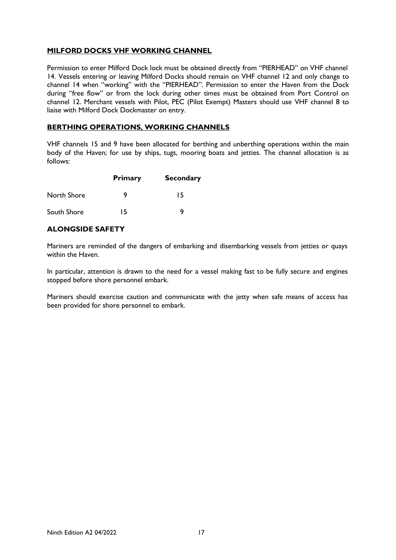### **MILFORD DOCKS VHF WORKING CHANNEL**

Permission to enter Milford Dock lock must be obtained directly from "PIERHEAD" on VHF channel 14. Vessels entering or leaving Milford Docks should remain on VHF channel 12 and only change to channel 14 when "working" with the "PIERHEAD". Permission to enter the Haven from the Dock during "free flow" or from the lock during other times must be obtained from Port Control on channel 12. Merchant vessels with Pilot, PEC (Pilot Exempt) Masters should use VHF channel 8 to liaise with Milford Dock Dockmaster on entry.

### **BERTHING OPERATIONS, WORKING CHANNELS**

VHF channels 15 and 9 have been allocated for berthing and unberthing operations within the main body of the Haven; for use by ships, tugs, mooring boats and jetties. The channel allocation is as follows:

|             | Primary | <b>Secondary</b> |
|-------------|---------|------------------|
| North Shore | q       | 15               |
| South Shore | 15      |                  |

### **ALONGSIDE SAFETY**

Mariners are reminded of the dangers of embarking and disembarking vessels from jetties or quays within the Haven.

In particular, attention is drawn to the need for a vessel making fast to be fully secure and engines stopped before shore personnel embark.

Mariners should exercise caution and communicate with the jetty when safe means of access has been provided for shore personnel to embark.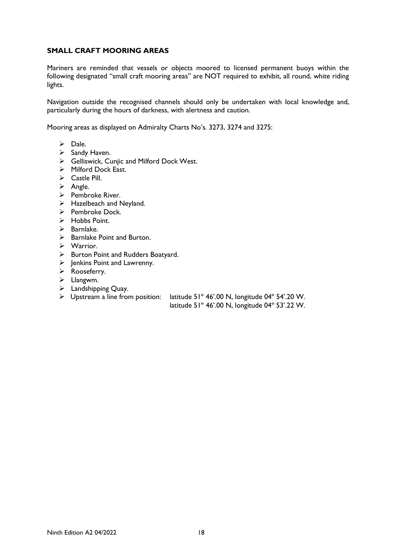### **SMALL CRAFT MOORING AREAS**

Mariners are reminded that vessels or objects moored to licensed permanent buoys within the following designated "small craft mooring areas" are NOT required to exhibit, all round, white riding lights.

Navigation outside the recognised channels should only be undertaken with local knowledge and, particularly during the hours of darkness, with alertness and caution.

Mooring areas as displayed on Admiralty Charts No's. 3273, 3274 and 3275:

- ➢ Dale.
- ➢ Sandy Haven.
- ➢ Gelliswick, Cunjic and Milford Dock West.
- ➢ Milford Dock East.
- ➢ Castle Pill.
- ➢ Angle.
- ➢ Pembroke River.
- ➢ Hazelbeach and Neyland.
- ➢ Pembroke Dock.
- ➢ Hobbs Point.
- ➢ Barnlake.
- $\triangleright$  Barnlake Point and Burton.
- ➢ Warrior.
- ➢ Burton Point and Rudders Boatyard.
- $\triangleright$  Jenkins Point and Lawrenny.
- ➢ Rooseferry.
- ➢ Llangwm.
- ➢ Landshipping Quay.
- ➢ Upstream a line from position: latitude 51º 46'.00 N, longitude 04º 54'.20 W. latitude 51º 46'.00 N, longitude 04º 53'.22 W.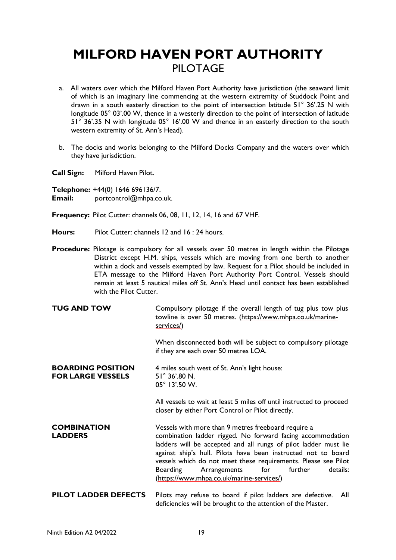## **MILFORD HAVEN PORT AUTHORITY** PILOTAGE

- <span id="page-18-0"></span>a. All waters over which the Milford Haven Port Authority have jurisdiction (the seaward limit of which is an imaginary line commencing at the western extremity of Studdock Point and drawn in a south easterly direction to the point of intersection latitude 51° 36'.25 N with longitude 05° 03'.00 W, thence in a westerly direction to the point of intersection of latitude 51° 36'.35 N with longitude 05° 16'.00 W and thence in an easterly direction to the south western extremity of St. Ann's Head).
- b. The docks and works belonging to the Milford Docks Company and the waters over which they have jurisdiction.
- **Call Sign:** Milford Haven Pilot.
- **Telephone:** +44(0) 1646 696136/7.
- **Email:** [portcontrol@mhpa.co.uk.](mailto:portcontrol@mhpa.co.uk)
- **Frequency:** Pilot Cutter: channels 06, 08, 11, 12, 14, 16 and 67 VHF.
- **Hours:** Pilot Cutter: channels 12 and 16 : 24 hours.
- **Procedure:** Pilotage is compulsory for all vessels over 50 metres in length within the Pilotage District except H.M. ships, vessels which are moving from one berth to another within a dock and vessels exempted by law. Request for a Pilot should be included in ETA message to the Milford Haven Port Authority Port Control. Vessels should remain at least 5 nautical miles off St. Ann's Head until contact has been established with the Pilot Cutter.

**TUG AND TOW** Compulsory pilotage if the overall length of tug plus tow plus towline is over 50 metres. [\(https://www.mhpa.co.uk/marine](https://www.mhpa.co.uk/marine-services/)[services/\)](https://www.mhpa.co.uk/marine-services/)

> When disconnected both will be subject to compulsory pilotage if they are each over 50 metres LOA.

**BOARDING POSITION** 4 miles south west of St. Ann's light house:<br>**FOR LARGE VESSELS** 51°36'.80 N. **FOR LARGE VESSELS** 05° 13'.50 W.

> All vessels to wait at least 5 miles off until instructed to proceed closer by either Port Control or Pilot directly.

- **COMBINATION** Vessels with more than 9 metres freeboard require a **LADDERS** combination ladder rigged. No forward facing accommodation ladders will be accepted and all rungs of pilot ladder must lie against ship's hull. Pilots have been instructed not to board vessels which do not meet these requirements. Please see Pilot Boarding Arrangements for further details: [\(https://www.mhpa.co.uk/marine-services/\)](https://www.mhpa.co.uk/marine-services/)
- **PILOT LADDER DEFECTS** Pilots may refuse to board if pilot ladders are defective. All deficiencies will be brought to the attention of the Master.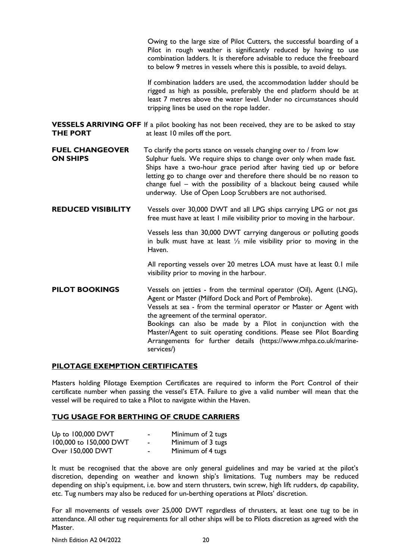|                                           | Owing to the large size of Pilot Cutters, the successful boarding of a<br>Pilot in rough weather is significantly reduced by having to use<br>combination ladders. It is therefore advisable to reduce the freeboard<br>to below 9 metres in vessels where this is possible, to avoid delays.                                                                                                                                                                           |
|-------------------------------------------|-------------------------------------------------------------------------------------------------------------------------------------------------------------------------------------------------------------------------------------------------------------------------------------------------------------------------------------------------------------------------------------------------------------------------------------------------------------------------|
|                                           | If combination ladders are used, the accommodation ladder should be<br>rigged as high as possible, preferably the end platform should be at<br>least 7 metres above the water level. Under no circumstances should<br>tripping lines be used on the rope ladder.                                                                                                                                                                                                        |
| <b>THE PORT</b>                           | <b>VESSELS ARRIVING OFF</b> If a pilot booking has not been received, they are to be asked to stay<br>at least 10 miles off the port.                                                                                                                                                                                                                                                                                                                                   |
| <b>FUEL CHANGEOVER</b><br><b>ON SHIPS</b> | To clarify the ports stance on vessels changing over to / from low<br>Sulphur fuels. We require ships to change over only when made fast.<br>Ships have a two-hour grace period after having tied up or before<br>letting go to change over and therefore there should be no reason to<br>change fuel - with the possibility of a blackout being caused while<br>underway. Use of Open Loop Scrubbers are not authorised.                                               |
| <b>REDUCED VISIBILITY</b>                 | Vessels over 30,000 DWT and all LPG ships carrying LPG or not gas<br>free must have at least I mile visibility prior to moving in the harbour.                                                                                                                                                                                                                                                                                                                          |
|                                           | Vessels less than 30,000 DWT carrying dangerous or polluting goods<br>in bulk must have at least $\frac{1}{2}$ mile visibility prior to moving in the<br>Haven.                                                                                                                                                                                                                                                                                                         |
|                                           | All reporting vessels over 20 metres LOA must have at least 0.1 mile<br>visibility prior to moving in the harbour.                                                                                                                                                                                                                                                                                                                                                      |
| <b>PILOT BOOKINGS</b>                     | Vessels on jetties - from the terminal operator (Oil), Agent (LNG),<br>Agent or Master (Milford Dock and Port of Pembroke).<br>Vessels at sea - from the terminal operator or Master or Agent with<br>the agreement of the terminal operator.<br>Bookings can also be made by a Pilot in conjunction with the<br>Master/Agent to suit operating conditions. Please see Pilot Boarding<br>Arrangements for further details (https://www.mhpa.co.uk/marine-<br>services/) |

### **PILOTAGE EXEMPTION CERTIFICATES**

Masters holding Pilotage Exemption Certificates are required to inform the Port Control of their certificate number when passing the vessel's ETA. Failure to give a valid number will mean that the vessel will be required to take a Pilot to navigate within the Haven.

#### **TUG USAGE FOR BERTHING OF CRUDE CARRIERS**

| Up to $100,000$ DWT    | $\blacksquare$ | Minimum of 2 tugs |
|------------------------|----------------|-------------------|
| 100,000 to 150,000 DWT | $\blacksquare$ | Minimum of 3 tugs |
| Over 150,000 DWT       | ٠              | Minimum of 4 tugs |

It must be recognised that the above are only general guidelines and may be varied at the pilot's discretion, depending on weather and known ship's limitations. Tug numbers may be reduced depending on ship's equipment, i.e. bow and stern thrusters, twin screw, high lift rudders, dp capability, etc. Tug numbers may also be reduced for un-berthing operations at Pilots' discretion.

For all movements of vessels over 25,000 DWT regardless of thrusters, at least one tug to be in attendance. All other tug requirements for all other ships will be to Pilots discretion as agreed with the Master.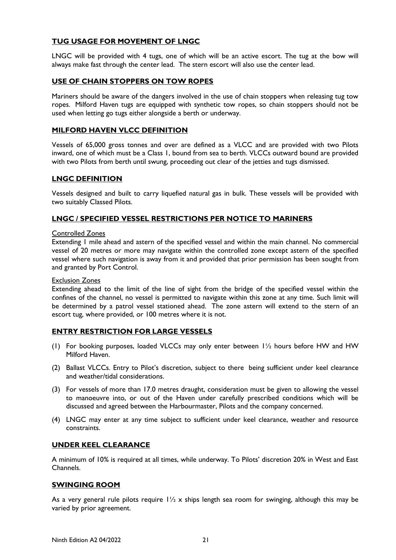### **TUG USAGE FOR MOVEMENT OF LNGC**

LNGC will be provided with 4 tugs, one of which will be an active escort. The tug at the bow will always make fast through the center lead. The stern escort will also use the center lead.

### **USE OF CHAIN STOPPERS ON TOW ROPES**

Mariners should be aware of the dangers involved in the use of chain stoppers when releasing tug tow ropes. Milford Haven tugs are equipped with synthetic tow ropes, so chain stoppers should not be used when letting go tugs either alongside a berth or underway.

### **MILFORD HAVEN VLCC DEFINITION**

Vessels of 65,000 gross tonnes and over are defined as a VLCC and are provided with two Pilots inward, one of which must be a Class 1, bound from sea to berth. VLCCs outward bound are provided with two Pilots from berth until swung, proceeding out clear of the jetties and tugs dismissed.

### **LNGC DEFINITION**

Vessels designed and built to carry liquefied natural gas in bulk. These vessels will be provided with two suitably Classed Pilots.

### **LNGC / SPECIFIED VESSEL RESTRICTIONS PER NOTICE TO MARINERS**

#### Controlled Zones

Extending 1 mile ahead and astern of the specified vessel and within the main channel. No commercial vessel of 20 metres or more may navigate within the controlled zone except astern of the specified vessel where such navigation is away from it and provided that prior permission has been sought from and granted by Port Control.

#### Exclusion Zones

Extending ahead to the limit of the line of sight from the bridge of the specified vessel within the confines of the channel, no vessel is permitted to navigate within this zone at any time. Such limit will be determined by a patrol vessel stationed ahead. The zone astern will extend to the stern of an escort tug, where provided, or 100 metres where it is not.

### **ENTRY RESTRICTION FOR LARGE VESSELS**

- (1) For booking purposes, loaded VLCCs may only enter between 1½ hours before HW and HW Milford Haven.
- (2) Ballast VLCCs. Entry to Pilot's discretion, subject to there being sufficient under keel clearance and weather/tidal considerations.
- (3) For vessels of more than 17.0 metres draught, consideration must be given to allowing the vessel to manoeuvre into, or out of the Haven under carefully prescribed conditions which will be discussed and agreed between the Harbourmaster, Pilots and the company concerned.
- (4) LNGC may enter at any time subject to sufficient under keel clearance, weather and resource constraints.

### **UNDER KEEL CLEARANCE**

A minimum of 10% is required at all times, while underway. To Pilots' discretion 20% in West and East Channels.

### **SWINGING ROOM**

As a very general rule pilots require  $1\frac{1}{2}$  x ships length sea room for swinging, although this may be varied by prior agreement.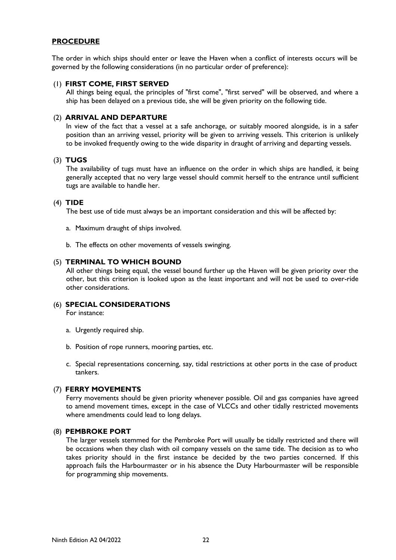### **PROCEDURE**

The order in which ships should enter or leave the Haven when a conflict of interests occurs will be governed by the following considerations (in no particular order of preference):

### (1) **FIRST COME, FIRST SERVED**

All things being equal, the principles of "first come", "first served" will be observed, and where a ship has been delayed on a previous tide, she will be given priority on the following tide.

### (2) **ARRIVAL AND DEPARTURE**

In view of the fact that a vessel at a safe anchorage, or suitably moored alongside, is in a safer position than an arriving vessel, priority will be given to arriving vessels. This criterion is unlikely to be invoked frequently owing to the wide disparity in draught of arriving and departing vessels.

### (3) **TUGS**

The availability of tugs must have an influence on the order in which ships are handled, it being generally accepted that no very large vessel should commit herself to the entrance until sufficient tugs are available to handle her.

### (4) **TIDE**

The best use of tide must always be an important consideration and this will be affected by:

- a. Maximum draught of ships involved.
- b. The effects on other movements of vessels swinging.

### (5) **TERMINAL TO WHICH BOUND**

All other things being equal, the vessel bound further up the Haven will be given priority over the other, but this criterion is looked upon as the least important and will not be used to over-ride other considerations.

### (6) **SPECIAL CONSIDERATIONS**

For instance:

- a. Urgently required ship.
- b. Position of rope runners, mooring parties, etc.
- c. Special representations concerning, say, tidal restrictions at other ports in the case of product tankers.

### (7) **FERRY MOVEMENTS**

Ferry movements should be given priority whenever possible. Oil and gas companies have agreed to amend movement times, except in the case of VLCCs and other tidally restricted movements where amendments could lead to long delays.

### (8) **PEMBROKE PORT**

The larger vessels stemmed for the Pembroke Port will usually be tidally restricted and there will be occasions when they clash with oil company vessels on the same tide. The decision as to who takes priority should in the first instance be decided by the two parties concerned. If this approach fails the Harbourmaster or in his absence the Duty Harbourmaster will be responsible for programming ship movements.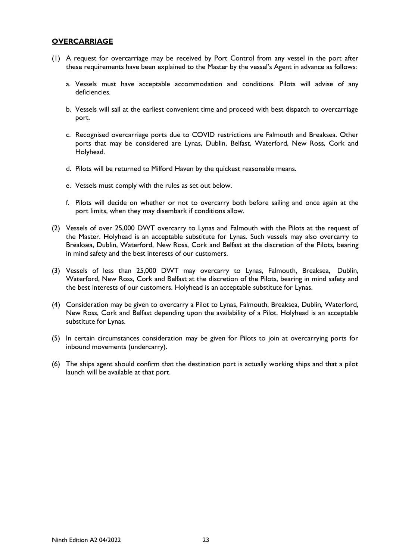### **OVERCARRIAGE**

- (1) A request for overcarriage may be received by Port Control from any vessel in the port after these requirements have been explained to the Master by the vessel's Agent in advance as follows:
	- a. Vessels must have acceptable accommodation and conditions. Pilots will advise of any deficiencies.
	- b. Vessels will sail at the earliest convenient time and proceed with best dispatch to overcarriage port.
	- c. Recognised overcarriage ports due to COVID restrictions are Falmouth and Breaksea. Other ports that may be considered are Lynas, Dublin, Belfast, Waterford, New Ross, Cork and Holyhead.
	- d. Pilots will be returned to Milford Haven by the quickest reasonable means.
	- e. Vessels must comply with the rules as set out below.
	- f. Pilots will decide on whether or not to overcarry both before sailing and once again at the port limits, when they may disembark if conditions allow.
- (2) Vessels of over 25,000 DWT overcarry to Lynas and Falmouth with the Pilots at the request of the Master. Holyhead is an acceptable substitute for Lynas. Such vessels may also overcarry to Breaksea, Dublin, Waterford, New Ross, Cork and Belfast at the discretion of the Pilots, bearing in mind safety and the best interests of our customers.
- (3) Vessels of less than 25,000 DWT may overcarry to Lynas, Falmouth, Breaksea, Dublin, Waterford, New Ross, Cork and Belfast at the discretion of the Pilots, bearing in mind safety and the best interests of our customers. Holyhead is an acceptable substitute for Lynas.
- (4) Consideration may be given to overcarry a Pilot to Lynas, Falmouth, Breaksea, Dublin, Waterford, New Ross, Cork and Belfast depending upon the availability of a Pilot. Holyhead is an acceptable substitute for Lynas.
- (5) In certain circumstances consideration may be given for Pilots to join at overcarrying ports for inbound movements (undercarry).
- (6) The ships agent should confirm that the destination port is actually working ships and that a pilot launch will be available at that port.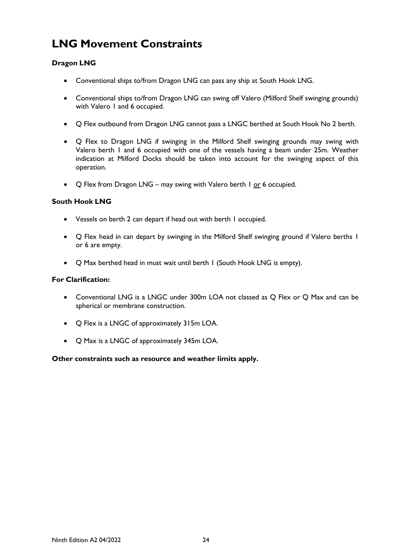### **LNG Movement Constraints**

### **Dragon LNG**

- Conventional ships to/from Dragon LNG can pass any ship at South Hook LNG.
- Conventional ships to/from Dragon LNG can swing off Valero (Milford Shelf swinging grounds) with Valero 1 and 6 occupied.
- Q Flex outbound from Dragon LNG cannot pass a LNGC berthed at South Hook No 2 berth.
- Q Flex to Dragon LNG if swinging in the Milford Shelf swinging grounds may swing with Valero berth 1 and 6 occupied with one of the vessels having a beam under 25m. Weather indication at Milford Docks should be taken into account for the swinging aspect of this operation.
- Q Flex from Dragon LNG may swing with Valero berth  $1 \text{ or } 6$  occupied.

### **South Hook LNG**

- Vessels on berth 2 can depart if head out with berth 1 occupied.
- Q Flex head in can depart by swinging in the Milford Shelf swinging ground if Valero berths 1 or 6 are empty.
- Q Max berthed head in must wait until berth 1 (South Hook LNG is empty).

### **For Clarification:**

- Conventional LNG is a LNGC under 300m LOA not classed as Q Flex or Q Max and can be spherical or membrane construction.
- Q Flex is a LNGC of approximately 315m LOA.
- Q Max is a LNGC of approximately 345m LOA.

### **Other constraints such as resource and weather limits apply.**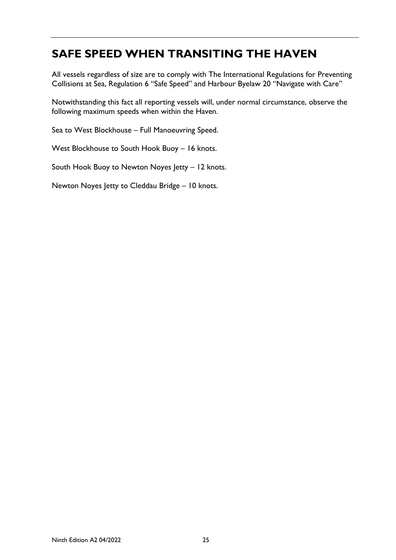### **SAFE SPEED WHEN TRANSITING THE HAVEN**

All vessels regardless of size are to comply with The International Regulations for Preventing Collisions at Sea, Regulation 6 "Safe Speed" and Harbour Byelaw 20 "Navigate with Care"

Notwithstanding this fact all reporting vessels will, under normal circumstance, observe the following maximum speeds when within the Haven.

Sea to West Blockhouse – Full Manoeuvring Speed.

West Blockhouse to South Hook Buoy – 16 knots.

South Hook Buoy to Newton Noyes Jetty – 12 knots.

Newton Noyes Jetty to Cleddau Bridge – 10 knots.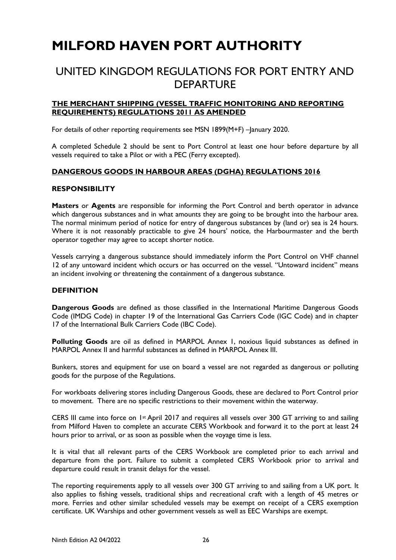### <span id="page-25-0"></span>UNITED KINGDOM REGULATIONS FOR PORT ENTRY AND DEPARTURE

### **THE MERCHANT SHIPPING (VESSEL TRAFFIC MONITORING AND REPORTING REQUIREMENTS) REGULATIONS 2011 AS AMENDED**

For details of other reporting requirements see MSN 1899(M+F) –January 2020.

A completed Schedule 2 should be sent to Port Control at least one hour before departure by all vessels required to take a Pilot or with a PEC (Ferry excepted).

### **DANGEROUS GOODS IN HARBOUR AREAS (DGHA) REGULATIONS 2016**

### **RESPONSIBILITY**

**Masters** or **Agents** are responsible for informing the Port Control and berth operator in advance which dangerous substances and in what amounts they are going to be brought into the harbour area. The normal minimum period of notice for entry of dangerous substances by (land or) sea is 24 hours. Where it is not reasonably practicable to give 24 hours' notice, the Harbourmaster and the berth operator together may agree to accept shorter notice.

Vessels carrying a dangerous substance should immediately inform the Port Control on VHF channel 12 of any untoward incident which occurs or has occurred on the vessel. "Untoward incident" means an incident involving or threatening the containment of a dangerous substance.

### **DEFINITION**

**Dangerous Goods** are defined as those classified in the International Maritime Dangerous Goods Code (IMDG Code) in chapter 19 of the International Gas Carriers Code (IGC Code) and in chapter 17 of the International Bulk Carriers Code (IBC Code).

**Polluting Goods** are oil as defined in MARPOL Annex 1, noxious liquid substances as defined in MARPOL Annex II and harmful substances as defined in MARPOL Annex III.

Bunkers, stores and equipment for use on board a vessel are not regarded as dangerous or polluting goods for the purpose of the Regulations.

For workboats delivering stores including Dangerous Goods, these are declared to Port Control prior to movement. There are no specific restrictions to their movement within the waterway.

CERS III came into force on 1<sup>st</sup> April 2017 and requires all vessels over 300 GT arriving to and sailing from Milford Haven to complete an accurate CERS Workbook and forward it to the port at least 24 hours prior to arrival, or as soon as possible when the voyage time is less.

It is vital that all relevant parts of the CERS Workbook are completed prior to each arrival and departure from the port. Failure to submit a completed CERS Workbook prior to arrival and departure could result in transit delays for the vessel.

The reporting requirements apply to all vessels over 300 GT arriving to and sailing from a UK port. It also applies to fishing vessels, traditional ships and recreational craft with a length of 45 metres or more. Ferries and other similar scheduled vessels may be exempt on receipt of a CERS exemption certificate. UK Warships and other government vessels as well as EEC Warships are exempt.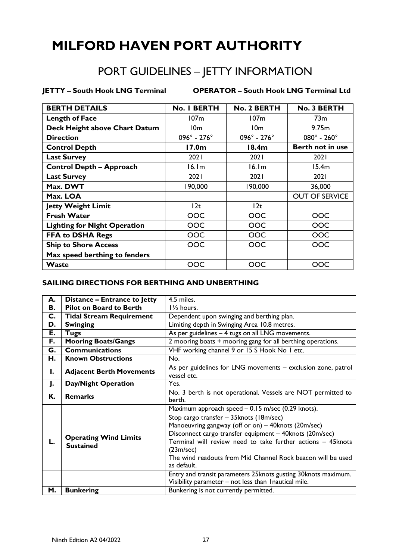## PORT GUIDELINES – JETTY INFORMATION

<span id="page-26-0"></span>**JETTY – South Hook LNG Terminal OPERATOR – South Hook LNG Terminal Ltd**

| <b>BERTH DETAILS</b>                | No. I BERTH             | No. 2 BERTH             | No. 3 BERTH             |
|-------------------------------------|-------------------------|-------------------------|-------------------------|
| <b>Length of Face</b>               | 107 <sub>m</sub>        | 107 <sub>m</sub>        | 73 <sub>m</sub>         |
| Deck Height above Chart Datum       | 10 <sub>m</sub>         | 10 <sub>m</sub>         | 9.75m                   |
| <b>Direction</b>                    | $096^\circ - 276^\circ$ | $096^\circ - 276^\circ$ | $080^\circ - 260^\circ$ |
| <b>Control Depth</b>                | 17.0 <sub>m</sub>       | 18.4m                   | Berth not in use        |
| <b>Last Survey</b>                  | 2021                    | 2021                    | 2021                    |
| <b>Control Depth - Approach</b>     | 16.1 <sub>m</sub>       | 16.1 <sub>m</sub>       | 15.4 <sub>m</sub>       |
| <b>Last Survey</b>                  | 202 I                   | 2021                    | 2021                    |
| Max. DWT                            | 190,000                 | 190,000                 | 36,000                  |
| Max. LOA                            |                         |                         | <b>OUT OF SERVICE</b>   |
| <b>Jetty Weight Limit</b>           | 12t                     | 12t                     |                         |
| <b>Fresh Water</b>                  | OOC                     | OOC                     | OOC                     |
| <b>Lighting for Night Operation</b> | OOC                     | OOC                     | OOC                     |
| <b>FFA to DSHA Regs</b>             | OOC                     | OOC                     | OOC                     |
| <b>Ship to Shore Access</b>         | OOC                     | OOC                     | OOC                     |
| Max speed berthing to fenders       |                         |                         |                         |
| Waste                               | OOC                     | OOC                     | OOC                     |

| А. | Distance - Entrance to Jetty                     | 4.5 miles.                                                                                                                                                                                                                                                                                                          |  |
|----|--------------------------------------------------|---------------------------------------------------------------------------------------------------------------------------------------------------------------------------------------------------------------------------------------------------------------------------------------------------------------------|--|
| В. | <b>Pilot on Board to Berth</b>                   | I 1/2 hours.                                                                                                                                                                                                                                                                                                        |  |
| C. | <b>Tidal Stream Requirement</b>                  | Dependent upon swinging and berthing plan.                                                                                                                                                                                                                                                                          |  |
| D. | <b>Swinging</b>                                  | Limiting depth in Swinging Area 10.8 metres.                                                                                                                                                                                                                                                                        |  |
| Е. | <b>Tugs</b>                                      | As per guidelines $-4$ tugs on all LNG movements.                                                                                                                                                                                                                                                                   |  |
| F. | <b>Mooring Boats/Gangs</b>                       | 2 mooring boats + mooring gang for all berthing operations.                                                                                                                                                                                                                                                         |  |
| G. | <b>Communications</b>                            | VHF working channel 9 or 15 S Hook No 1 etc.                                                                                                                                                                                                                                                                        |  |
| Н. | <b>Known Obstructions</b>                        | No.                                                                                                                                                                                                                                                                                                                 |  |
| I. | <b>Adjacent Berth Movements</b>                  | As per guidelines for LNG movements - exclusion zone, patrol<br>vessel etc.                                                                                                                                                                                                                                         |  |
| J. | Day/Night Operation                              | Yes.                                                                                                                                                                                                                                                                                                                |  |
| К. | <b>Remarks</b>                                   | No. 3 berth is not operational. Vessels are NOT permitted to<br>berth.                                                                                                                                                                                                                                              |  |
|    |                                                  | Maximum approach speed - 0.15 m/sec (0.29 knots).                                                                                                                                                                                                                                                                   |  |
|    | <b>Operating Wind Limits</b><br><b>Sustained</b> | Stop cargo transfer - 35knots (18m/sec)<br>Manoeuvring gangway (off or on) - 40knots (20m/sec)<br>Disconnect cargo transfer equipment - 40knots (20m/sec)<br>Terminal will review need to take further actions - 45knots<br>(23m/sec)<br>The wind readouts from Mid Channel Rock beacon will be used<br>as default. |  |
|    |                                                  | Entry and transit parameters 25knots gusting 30knots maximum.<br>Visibility parameter - not less than Inautical mile.                                                                                                                                                                                               |  |
| M. | <b>Bunkering</b>                                 | Bunkering is not currently permitted.                                                                                                                                                                                                                                                                               |  |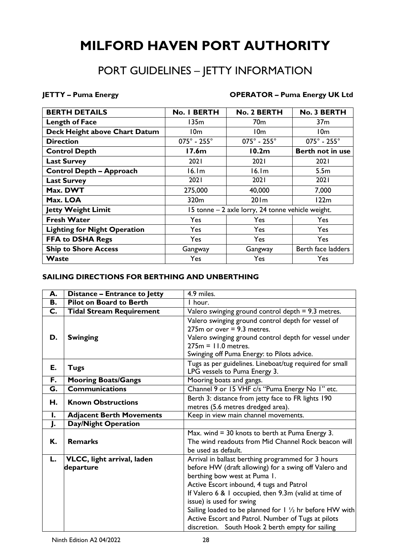## PORT GUIDELINES – JETTY INFORMATION

### **JETTY – Puma Energy OPERATOR – Puma Energy UK Ltd**

| <b>BERTH DETAILS</b>                | No. I BERTH                    | No. 2 BERTH                                       | No. 3 BERTH                    |
|-------------------------------------|--------------------------------|---------------------------------------------------|--------------------------------|
| <b>Length of Face</b>               | 135m                           | 70 <sub>m</sub>                                   | 37m                            |
| Deck Height above Chart Datum       | 10 <sub>m</sub>                | 10 <sub>m</sub>                                   | 10 <sub>m</sub>                |
| <b>Direction</b>                    | $075^{\circ}$ - 255 $^{\circ}$ | $075^{\circ}$ - 255 $^{\circ}$                    | $075^{\circ}$ - 255 $^{\circ}$ |
| <b>Control Depth</b>                | 17.6m                          | 10.2m                                             | Berth not in use               |
| <b>Last Survey</b>                  | 2021                           | 2021                                              | 2021                           |
| <b>Control Depth - Approach</b>     | 16.1 <sub>m</sub>              | 16.1 <sub>m</sub>                                 | 5.5 <sub>m</sub>               |
| <b>Last Survey</b>                  | 2021                           | 2021                                              | 202 l                          |
| Max. DWT                            | 275,000                        | 40,000                                            | 7,000                          |
| Max. LOA                            | 320m                           | 201m                                              | 122m                           |
| <b>Jetty Weight Limit</b>           |                                | 15 tonne - 2 axle lorry, 24 tonne vehicle weight. |                                |
| <b>Fresh Water</b>                  | Yes                            | <b>Yes</b>                                        | Yes.                           |
| <b>Lighting for Night Operation</b> | Yes.                           | <b>Yes</b>                                        | Yes.                           |
| <b>FFA to DSHA Regs</b>             | <b>Yes</b>                     | <b>Yes</b>                                        | Yes.                           |
| <b>Ship to Shore Access</b>         | Gangway                        | Gangway                                           | Berth face ladders             |
| <b>Waste</b>                        | Yes                            | Yes                                               | Yes                            |

| А.                        | Distance - Entrance to Jetty    | 4.9 miles.                                                                                                                                                                                                          |  |  |
|---------------------------|---------------------------------|---------------------------------------------------------------------------------------------------------------------------------------------------------------------------------------------------------------------|--|--|
| В.                        | <b>Pilot on Board to Berth</b>  | I hour.                                                                                                                                                                                                             |  |  |
| $\overline{\mathsf{C}}$ . | <b>Tidal Stream Requirement</b> | Valero swinging ground control depth $= 9.3$ metres.                                                                                                                                                                |  |  |
| D.                        | <b>Swinging</b>                 | Valero swinging ground control depth for vessel of<br>$275m$ or over = 9.3 metres.<br>Valero swinging ground control depth for vessel under<br>$275m = 11.0$ metres.<br>Swinging off Puma Energy: to Pilots advice. |  |  |
| Е.                        | <b>Tugs</b>                     | Tugs as per guidelines. Lineboat/tug required for small<br>LPG vessels to Puma Energy 3.                                                                                                                            |  |  |
| F.                        | <b>Mooring Boats/Gangs</b>      | Mooring boats and gangs.                                                                                                                                                                                            |  |  |
| G.                        | <b>Communications</b>           | Channel 9 or 15 VHF c/s "Puma Energy No I" etc.                                                                                                                                                                     |  |  |
| Η.                        | <b>Known Obstructions</b>       | Berth 3: distance from jetty face to FR lights 190<br>metres (5.6 metres dredged area).                                                                                                                             |  |  |
| Ι.                        | <b>Adjacent Berth Movements</b> | Keep in view main channel movements.                                                                                                                                                                                |  |  |
| J.                        | <b>Day/Night Operation</b>      |                                                                                                                                                                                                                     |  |  |
| К.                        | <b>Remarks</b>                  | Max. wind $=$ 30 knots to berth at Puma Energy 3.<br>The wind readouts from Mid Channel Rock beacon will<br>be used as default.                                                                                     |  |  |
| L.                        | VLCC, light arrival, laden      | Arrival in ballast berthing programmed for 3 hours                                                                                                                                                                  |  |  |
|                           | departure                       | before HW (draft allowing) for a swing off Valero and<br>berthing bow west at Puma 1.<br>Active Escort inbound, 4 tugs and Patrol                                                                                   |  |  |
|                           |                                 | If Valero 6 & 1 occupied, then 9.3m (valid at time of                                                                                                                                                               |  |  |
|                           |                                 | issue) is used for swing                                                                                                                                                                                            |  |  |
|                           |                                 | Sailing loaded to be planned for 1 1/2 hr before HW with                                                                                                                                                            |  |  |
|                           |                                 | Active Escort and Patrol. Number of Tugs at pilots                                                                                                                                                                  |  |  |
|                           |                                 | discretion. South Hook 2 berth empty for sailing                                                                                                                                                                    |  |  |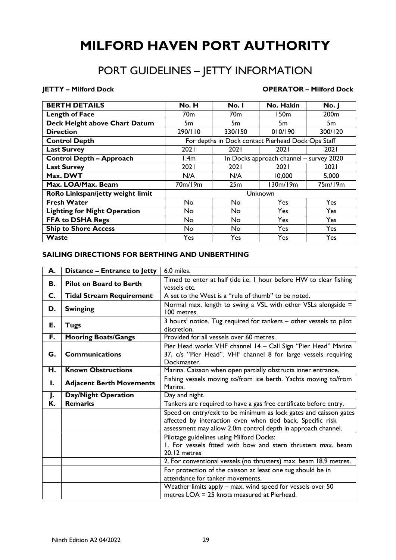## PORT GUIDELINES – JETTY INFORMATION

### **JETTY – Milford Dock OPERATOR – Milford Dock**

| <b>BERTH DETAILS</b>                | No. H                                           | No. I           | No. Hakin                                          | No.              |
|-------------------------------------|-------------------------------------------------|-----------------|----------------------------------------------------|------------------|
| <b>Length of Face</b>               | 70 <sub>m</sub>                                 | 70 <sub>m</sub> | 150 <sub>m</sub>                                   | 200 <sub>m</sub> |
| Deck Height above Chart Datum       | 5m                                              | 5m              | 5m                                                 | 5m               |
| <b>Direction</b>                    | 290/110                                         | 330/150         | 010/190                                            | 300/120          |
| <b>Control Depth</b>                |                                                 |                 | For depths in Dock contact Pierhead Dock Ops Staff |                  |
| <b>Last Survey</b>                  | 2021                                            | 2021            | 2021                                               | 2021             |
| <b>Control Depth - Approach</b>     | In Docks approach channel - survey 2020<br>l.4m |                 |                                                    |                  |
| <b>Last Survey</b>                  | 2021                                            | 2021            | 2021                                               | 202 l            |
| Max. DWT                            | N/A                                             | N/A             | 10,000                                             | 5,000            |
| Max. LOA/Max. Beam                  | 70m/19m                                         | 25m             | 130m/19m                                           | 75m/19m          |
| RoRo Linkspan/jetty weight limit    |                                                 |                 | Unknown                                            |                  |
| <b>Fresh Water</b>                  | No                                              | No.             | <b>Yes</b>                                         | Yes              |
| <b>Lighting for Night Operation</b> | No                                              | No              | Yes                                                | Yes              |
| FFA to DSHA Regs                    | No                                              | No.             | Yes                                                | Yes              |
| <b>Ship to Shore Access</b>         | No                                              | No.             | <b>Yes</b>                                         | <b>Yes</b>       |
| Waste                               | Yes                                             | Yes             | Yes                                                | Yes              |

| А. | Distance - Entrance to Jetty    | 6.0 miles.                                                                                                                                                                                      |
|----|---------------------------------|-------------------------------------------------------------------------------------------------------------------------------------------------------------------------------------------------|
| В. | <b>Pilot on Board to Berth</b>  | Timed to enter at half tide i.e. I hour before HW to clear fishing<br>vessels etc.                                                                                                              |
| C. | <b>Tidal Stream Requirement</b> | A set to the West is a "rule of thumb" to be noted.                                                                                                                                             |
| D. | <b>Swinging</b>                 | Normal max. length to swing a VSL with other VSLs alongside =<br>100 metres.                                                                                                                    |
| E. | <b>Tugs</b>                     | 3 hours' notice. Tug required for tankers - other vessels to pilot<br>discretion.                                                                                                               |
| F. | <b>Mooring Boats/Gangs</b>      | Provided for all vessels over 60 metres.                                                                                                                                                        |
| G. | <b>Communications</b>           | Pier Head works VHF channel 14 - Call Sign "Pier Head" Marina<br>37, c/s "Pier Head". VHF channel 8 for large vessels requiring<br>Dockmaster.                                                  |
| Н. | <b>Known Obstructions</b>       | Marina. Caisson when open partially obstructs inner entrance.                                                                                                                                   |
| I. | <b>Adjacent Berth Movements</b> | Fishing vessels moving to/from ice berth. Yachts moving to/from<br>Marina.                                                                                                                      |
| J. | <b>Day/Night Operation</b>      | Day and night.                                                                                                                                                                                  |
| K. | <b>Remarks</b>                  | Tankers are required to have a gas free certificate before entry.                                                                                                                               |
|    |                                 | Speed on entry/exit to be minimum as lock gates and caisson gates<br>affected by interaction even when tied back. Specific risk<br>assessment may allow 2.0m control depth in approach channel. |
|    |                                 | Pilotage guidelines using Milford Docks:<br>I. For vessels fitted with bow and stern thrusters max. beam<br>20.12 metres                                                                        |
|    |                                 | 2. For conventional vessels (no thrusters) max. beam 18.9 metres.                                                                                                                               |
|    |                                 | For protection of the caisson at least one tug should be in<br>attendance for tanker movements.                                                                                                 |
|    |                                 | Weather limits apply – max. wind speed for vessels over 50<br>metres LOA = 25 knots measured at Pierhead.                                                                                       |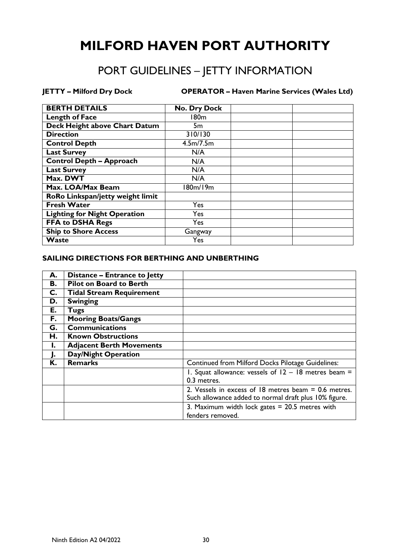# PORT GUIDELINES – JETTY INFORMATION

**JETTY – Milford Dry Dock OPERATOR – Haven Marine Services (Wales Ltd)**

| <b>BERTH DETAILS</b>                | <b>No. Dry Dock</b> |  |
|-------------------------------------|---------------------|--|
| <b>Length of Face</b>               | 180m                |  |
| Deck Height above Chart Datum       | 5m                  |  |
| <b>Direction</b>                    | 310/130             |  |
| <b>Control Depth</b>                | 4.5m/7.5m           |  |
| <b>Last Survey</b>                  | N/A                 |  |
| <b>Control Depth - Approach</b>     | N/A                 |  |
| <b>Last Survey</b>                  | N/A                 |  |
| Max. DWT                            | N/A                 |  |
| Max. LOA/Max Beam                   | 180m/19m            |  |
| RoRo Linkspan/jetty weight limit    |                     |  |
| <b>Fresh Water</b>                  | Yes                 |  |
| <b>Lighting for Night Operation</b> | Yes                 |  |
| <b>FFA to DSHA Regs</b>             | Yes.                |  |
| <b>Ship to Shore Access</b>         | Gangway             |  |
| Waste                               | Yes                 |  |

| А. | Distance - Entrance to Jetty    |                                                        |
|----|---------------------------------|--------------------------------------------------------|
| В. | <b>Pilot on Board to Berth</b>  |                                                        |
| C. | <b>Tidal Stream Requirement</b> |                                                        |
| D. | <b>Swinging</b>                 |                                                        |
| Е. | <b>Tugs</b>                     |                                                        |
| F. | <b>Mooring Boats/Gangs</b>      |                                                        |
| G. | <b>Communications</b>           |                                                        |
| Н. | <b>Known Obstructions</b>       |                                                        |
| ı. | <b>Adjacent Berth Movements</b> |                                                        |
| J. | <b>Day/Night Operation</b>      |                                                        |
| К. | <b>Remarks</b>                  | Continued from Milford Docks Pilotage Guidelines:      |
|    |                                 | 1. Squat allowance: vessels of $12 - 18$ metres beam = |
|    |                                 | 0.3 metres.                                            |
|    |                                 | 2. Vessels in excess of 18 metres beam = $0.6$ metres. |
|    |                                 | Such allowance added to normal draft plus 10% figure.  |
|    |                                 | 3. Maximum width lock gates $= 20.5$ metres with       |
|    |                                 | fenders removed.                                       |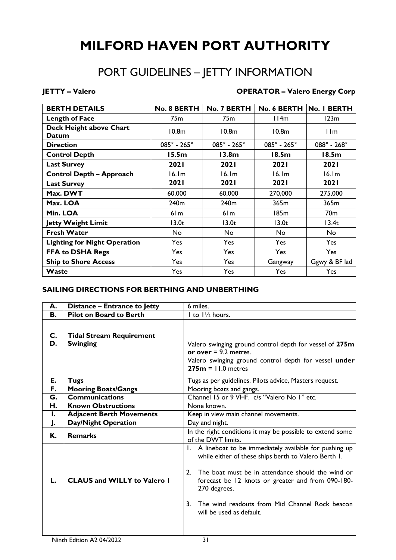## PORT GUIDELINES – JETTY INFORMATION

### **JETTY – Valero OPERATOR – Valero Energy Corp**

| <b>BERTH DETAILS</b>                    | No. 8 BERTH             | No. 7 BERTH               | No. 6 BERTH               | No. I BERTH               |
|-----------------------------------------|-------------------------|---------------------------|---------------------------|---------------------------|
| <b>Length of Face</b>                   | 75 <sub>m</sub>         | 75 <sub>m</sub>           | 114m                      | 123m                      |
| Deck Height above Chart<br><b>Datum</b> | 10.8 <sub>m</sub>       | 10.8 <sub>m</sub>         | 10.8 <sub>m</sub>         | l Im                      |
| <b>Direction</b>                        | $085^\circ - 265^\circ$ | $085^\circ$ - $265^\circ$ | $085^\circ$ - $265^\circ$ | $088^\circ$ - $268^\circ$ |
| <b>Control Depth</b>                    | 15.5m                   | 13.8 <sub>m</sub>         | 18.5m                     | 18.5m                     |
| <b>Last Survey</b>                      | <b>2021</b>             | <b>2021</b>               | <b>2021</b>               | <b>2021</b>               |
| <b>Control Depth - Approach</b>         | 16.1 <sub>m</sub>       | 16.1 <sub>m</sub>         | 16.1 <sub>m</sub>         | 16.1 <sub>m</sub>         |
| <b>Last Survey</b>                      | 202 I                   | <b>2021</b>               | <b>2021</b>               | <b>2021</b>               |
| Max. DWT                                | 60,000                  | 60,000                    | 270,000                   | 275,000                   |
| Max. LOA                                | 240 <sub>m</sub>        | 240 <sub>m</sub>          | 365m                      | 365m                      |
| Min. LOA                                | 61m                     | 6lm                       | 185m                      | 70 <sub>m</sub>           |
| <b>Jetty Weight Limit</b>               | 13.0t                   | 13.0t                     | 13.0t                     | 13.4t                     |
| <b>Fresh Water</b>                      | No                      | No                        | No                        | No                        |
| <b>Lighting for Night Operation</b>     | Yes                     | Yes                       | Yes                       | Yes                       |
| FFA to DSHA Regs                        | Yes                     | Yes                       | Yes                       | Yes                       |
| <b>Ship to Shore Access</b>             | Yes                     | Yes                       | Gangway                   | Ggwy & BF lad             |
| Waste                                   | Yes                     | Yes                       | Yes                       | Yes                       |

| А.                       | Distance - Entrance to Jetty       | 6 miles.                                                                                                                                                                                                                                                                                                                             |  |  |  |
|--------------------------|------------------------------------|--------------------------------------------------------------------------------------------------------------------------------------------------------------------------------------------------------------------------------------------------------------------------------------------------------------------------------------|--|--|--|
| В.                       | <b>Pilot on Board to Berth</b>     | I to $1\frac{1}{2}$ hours.                                                                                                                                                                                                                                                                                                           |  |  |  |
| C.                       | <b>Tidal Stream Requirement</b>    |                                                                                                                                                                                                                                                                                                                                      |  |  |  |
| D.                       | <b>Swinging</b>                    | Valero swinging ground control depth for vessel of 275m<br>or over $= 9.2$ metres.<br>Valero swinging ground control depth for vessel under<br>$275m = 11.0$ metres                                                                                                                                                                  |  |  |  |
| Е.                       | Tugs                               | Tugs as per guidelines. Pilots advice, Masters request.                                                                                                                                                                                                                                                                              |  |  |  |
| F.                       | <b>Mooring Boats/Gangs</b>         | Mooring boats and gangs.                                                                                                                                                                                                                                                                                                             |  |  |  |
| $\overline{\mathsf{G.}}$ | <b>Communications</b>              | Channel 15 or 9 VHF. c/s "Valero No I" etc.                                                                                                                                                                                                                                                                                          |  |  |  |
| Н.                       | <b>Known Obstructions</b>          | None known.                                                                                                                                                                                                                                                                                                                          |  |  |  |
| I.                       | <b>Adjacent Berth Movements</b>    | Keep in view main channel movements.                                                                                                                                                                                                                                                                                                 |  |  |  |
| J.                       | <b>Day/Night Operation</b>         | Day and night.                                                                                                                                                                                                                                                                                                                       |  |  |  |
| К.                       | <b>Remarks</b>                     | In the right conditions it may be possible to extend some<br>of the DWT limits.                                                                                                                                                                                                                                                      |  |  |  |
|                          | <b>CLAUS and WILLY to Valero I</b> | 1. A lineboat to be immediately available for pushing up<br>while either of these ships berth to Valero Berth I.<br>The boat must be in attendance should the wind or<br>2.<br>forecast be 12 knots or greater and from 090-180-<br>270 degrees.<br>The wind readouts from Mid Channel Rock beacon<br>3.<br>will be used as default. |  |  |  |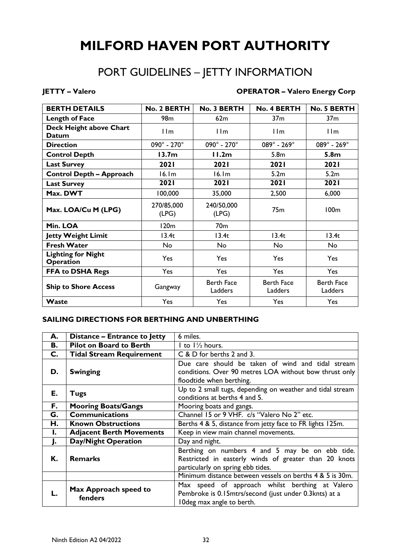## PORT GUIDELINES – JETTY INFORMATION

### **JETTY – Valero OPERATOR – Valero Energy Corp**

| <b>BERTH DETAILS</b>                          | No. 2 BERTH             | No. 3 BERTH                  | No. 4 BERTH                  | No. 5 BERTH               |
|-----------------------------------------------|-------------------------|------------------------------|------------------------------|---------------------------|
| <b>Length of Face</b>                         | <b>98m</b>              | 62m                          | 37 <sub>m</sub>              | 37 <sub>m</sub>           |
| Deck Height above Chart<br>Datum              | 11m                     | 11m                          | llm                          | 11m                       |
| <b>Direction</b>                              | $090^\circ - 270^\circ$ | $090^\circ$ - 270 $^\circ$   | $089^\circ$ - $269^\circ$    | $089^\circ$ - $269^\circ$ |
| <b>Control Depth</b>                          | 13.7 <sub>m</sub>       | 11.2m                        | 5.8 <sub>m</sub>             | 5.8 <sub>m</sub>          |
| <b>Last Survey</b>                            | 2021                    | 2021                         | <b>2021</b>                  | 2021                      |
| <b>Control Depth - Approach</b>               | 16.1 <sub>m</sub>       | 16.1 <sub>m</sub>            | 5.2 <sub>m</sub>             | 5.2 <sub>m</sub>          |
| <b>Last Survey</b>                            | <b>2021</b>             | <b>2021</b>                  | <b>2021</b>                  | <b>2021</b>               |
| Max. DWT                                      | 100,000                 | 35,000                       | 2,500                        | 6,000                     |
| Max. LOA/Cu M (LPG)                           | 270/85,000<br>(LPG)     | 240/50,000<br>(LPG)          | 75 <sub>m</sub>              | 100m                      |
| Min. LOA                                      | 120 <sub>m</sub>        | 70 <sub>m</sub>              |                              |                           |
| <b>Jetty Weight Limit</b>                     | 13.4t                   | 13.4t                        | 13.4t                        | 13.4t                     |
| <b>Fresh Water</b>                            | <b>No</b>               | No                           | No                           | No                        |
| <b>Lighting for Night</b><br><b>Operation</b> | Yes                     | Yes                          | Yes                          | Yes                       |
| <b>FFA to DSHA Regs</b>                       | Yes                     | Yes                          | Yes                          | Yes                       |
| <b>Ship to Shore Access</b>                   | Gangway                 | <b>Berth Face</b><br>Ladders | <b>Berth Face</b><br>Ladders | Berth Face<br>Ladders     |
| Waste                                         | Yes                     | Yes                          | Yes                          | Yes                       |

| А. | Distance – Entrance to Jetty                                                           | 6 miles.                                                                                                                                      |  |
|----|----------------------------------------------------------------------------------------|-----------------------------------------------------------------------------------------------------------------------------------------------|--|
| В. | <b>Pilot on Board to Berth</b>                                                         | I to $1\frac{1}{2}$ hours.                                                                                                                    |  |
| C. | <b>Tidal Stream Requirement</b>                                                        | C & D for berths 2 and 3.                                                                                                                     |  |
| D. | <b>Swinging</b>                                                                        | Due care should be taken of wind and tidal stream<br>conditions. Over 90 metres LOA without bow thrust only<br>floodtide when berthing.       |  |
| Е. | <b>Tugs</b>                                                                            | Up to 2 small tugs, depending on weather and tidal stream<br>conditions at berths 4 and 5.                                                    |  |
| F. | <b>Mooring Boats/Gangs</b>                                                             | Mooring boats and gangs.                                                                                                                      |  |
| G. | <b>Communications</b>                                                                  | Channel 15 or 9 VHF. c/s "Valero No 2" etc.                                                                                                   |  |
| Н. | <b>Known Obstructions</b><br>Berths 4 & 5, distance from jetty face to FR lights 125m. |                                                                                                                                               |  |
| I. | <b>Adjacent Berth Movements</b><br>Keep in view main channel movements.                |                                                                                                                                               |  |
| J. | <b>Day/Night Operation</b><br>Day and night.                                           |                                                                                                                                               |  |
| К. | <b>Remarks</b>                                                                         | Berthing on numbers 4 and 5 may be on ebb tide.<br>Restricted in easterly winds of greater than 20 knots<br>particularly on spring ebb tides. |  |
|    |                                                                                        | Minimum distance between vessels on berths 4 & 5 is 30m.                                                                                      |  |
|    | Max Approach speed to<br>fenders                                                       | Max speed of approach whilst berthing at Valero<br>Pembroke is 0.15mtrs/second (just under 0.3knts) at a<br>10deg max angle to berth.         |  |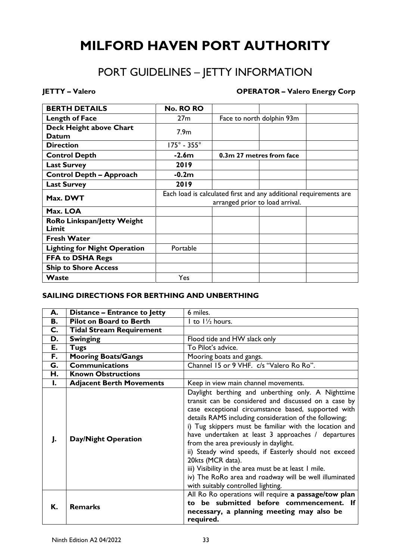## PORT GUIDELINES – JETTY INFORMATION

### **JETTY – Valero OPERATOR – Valero Energy Corp**

| <b>BERTH DETAILS</b>                       | No. RO RO                                                                                            |  |                           |  |
|--------------------------------------------|------------------------------------------------------------------------------------------------------|--|---------------------------|--|
| <b>Length of Face</b>                      | 27 <sub>m</sub>                                                                                      |  | Face to north dolphin 93m |  |
| Deck Height above Chart                    | 7.9 <sub>m</sub>                                                                                     |  |                           |  |
| <b>Datum</b>                               |                                                                                                      |  |                           |  |
| <b>Direction</b>                           | $175^{\circ}$ - 355 $^{\circ}$                                                                       |  |                           |  |
| <b>Control Depth</b>                       | $-2.6m$                                                                                              |  | 0.3m 27 metres from face  |  |
| <b>Last Survey</b>                         | 2019                                                                                                 |  |                           |  |
| <b>Control Depth - Approach</b>            | $-0.2m$                                                                                              |  |                           |  |
| <b>Last Survey</b>                         | 2019                                                                                                 |  |                           |  |
| Max. DWT                                   | Each load is calculated first and any additional requirements are<br>arranged prior to load arrival. |  |                           |  |
| Max. LOA                                   |                                                                                                      |  |                           |  |
| <b>RoRo Linkspan/Jetty Weight</b><br>Limit |                                                                                                      |  |                           |  |
| <b>Fresh Water</b>                         |                                                                                                      |  |                           |  |
| <b>Lighting for Night Operation</b>        | Portable                                                                                             |  |                           |  |
| <b>FFA to DSHA Regs</b>                    |                                                                                                      |  |                           |  |
| <b>Ship to Shore Access</b>                |                                                                                                      |  |                           |  |
| Waste                                      | Yes                                                                                                  |  |                           |  |

| А.             | Distance - Entrance to Jetty    | 6 miles.                                                                                                                                                                                                                                                                                                                                                                                                                                                                                                                                                                                                                   |
|----------------|---------------------------------|----------------------------------------------------------------------------------------------------------------------------------------------------------------------------------------------------------------------------------------------------------------------------------------------------------------------------------------------------------------------------------------------------------------------------------------------------------------------------------------------------------------------------------------------------------------------------------------------------------------------------|
| В.             | <b>Pilot on Board to Berth</b>  | I to $1\frac{1}{2}$ hours.                                                                                                                                                                                                                                                                                                                                                                                                                                                                                                                                                                                                 |
| C.             | <b>Tidal Stream Requirement</b> |                                                                                                                                                                                                                                                                                                                                                                                                                                                                                                                                                                                                                            |
| D.             | <b>Swinging</b>                 | Flood tide and HW slack only                                                                                                                                                                                                                                                                                                                                                                                                                                                                                                                                                                                               |
| Е.             | <b>Tugs</b>                     | To Pilot's advice.                                                                                                                                                                                                                                                                                                                                                                                                                                                                                                                                                                                                         |
| F.             | <b>Mooring Boats/Gangs</b>      | Mooring boats and gangs.                                                                                                                                                                                                                                                                                                                                                                                                                                                                                                                                                                                                   |
| G.             | <b>Communications</b>           | Channel 15 or 9 VHF. c/s "Valero Ro Ro".                                                                                                                                                                                                                                                                                                                                                                                                                                                                                                                                                                                   |
| H.             | <b>Known Obstructions</b>       |                                                                                                                                                                                                                                                                                                                                                                                                                                                                                                                                                                                                                            |
| $\mathbf{I}$ . | <b>Adjacent Berth Movements</b> | Keep in view main channel movements.                                                                                                                                                                                                                                                                                                                                                                                                                                                                                                                                                                                       |
| J.             | Day/Night Operation             | Daylight berthing and unberthing only. A Nighttime<br>transit can be considered and discussed on a case by<br>case exceptional circumstance based, supported with<br>details RAMS including consideration of the following;<br>i) Tug skippers must be familiar with the location and<br>have undertaken at least 3 approaches / departures<br>from the area previously in daylight.<br>ii) Steady wind speeds, if Easterly should not exceed<br>20kts (MCR data).<br>iii) Visibility in the area must be at least 1 mile.<br>iv) The RoRo area and roadway will be well illuminated<br>with suitably controlled lighting. |
| К.             | <b>Remarks</b>                  | All Ro Ro operations will require a passage/tow plan<br>to be submitted before commencement. If<br>necessary, a planning meeting may also be<br>required.                                                                                                                                                                                                                                                                                                                                                                                                                                                                  |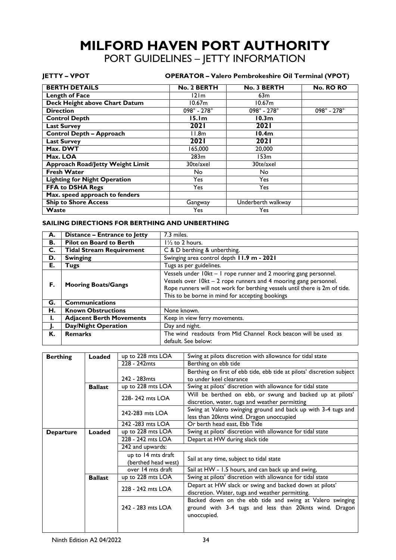PORT GUIDELINES – JETTY INFORMATION

### **JETTY – VPOT OPERATOR – Valero Pembrokeshire Oil Terminal (VPOT)**

| <b>BERTH DETAILS</b>                    | No. 2 BERTH                    | No. 3 BERTH             | No. RO RO               |
|-----------------------------------------|--------------------------------|-------------------------|-------------------------|
| <b>Length of Face</b>                   | 121m                           | 63m                     |                         |
| Deck Height above Chart Datum           | 10.67 <sub>m</sub>             | 10.67 <sub>m</sub>      |                         |
| <b>Direction</b>                        | $098^{\circ}$ - 278 $^{\circ}$ | $098^\circ - 278^\circ$ | $098^\circ - 278^\circ$ |
| <b>Control Depth</b>                    | 15.1 <sub>m</sub>              | 10.3 <sub>m</sub>       |                         |
| <b>Last Survey</b>                      | <b>2021</b>                    | <b>2021</b>             |                         |
| <b>Control Depth - Approach</b>         | 11.8m                          | 10.4 <sub>m</sub>       |                         |
| <b>Last Survey</b>                      | <b>2021</b>                    | <b>2021</b>             |                         |
| Max. DWT                                | 165,000                        | 20,000                  |                         |
| Max. LOA                                | 283m                           | 153m                    |                         |
| <b>Approach Road/Jetty Weight Limit</b> | 30te/axel                      | 30te/axel               |                         |
| <b>Fresh Water</b>                      | No.                            | No                      |                         |
| <b>Lighting for Night Operation</b>     | Yes                            | Yes                     |                         |
| <b>FFA to DSHA Regs</b>                 | Yes                            | Yes                     |                         |
| Max. speed approach to fenders          |                                |                         |                         |
| <b>Ship to Shore Access</b>             | Gangway                        | Underberth walkway      |                         |
| Waste                                   | Yes                            | Yes                     |                         |

| А. | Distance - Entrance to Jetty                                                                                                                                                                                                                                                                        | 7.3 miles.                                                                            |  |
|----|-----------------------------------------------------------------------------------------------------------------------------------------------------------------------------------------------------------------------------------------------------------------------------------------------------|---------------------------------------------------------------------------------------|--|
| В. | <b>Pilot on Board to Berth</b>                                                                                                                                                                                                                                                                      | $1\frac{1}{2}$ to 2 hours.                                                            |  |
| C. | <b>Tidal Stream Requirement</b>                                                                                                                                                                                                                                                                     | C & D berthing & unberthing.                                                          |  |
| D. | <b>Swinging</b>                                                                                                                                                                                                                                                                                     | Swinging area control depth 11.9 m - 2021                                             |  |
| Е. | Tugs                                                                                                                                                                                                                                                                                                | Tugs as per guidelines.                                                               |  |
| F. | Vessels under 10kt - 1 rope runner and 2 mooring gang personnel.<br>Vessels over 10kt - 2 rope runners and 4 mooring gang personnel.<br><b>Mooring Boats/Gangs</b><br>Rope runners will not work for berthing vessels until there is 2m of tide.<br>This to be borne in mind for accepting bookings |                                                                                       |  |
| G. | <b>Communications</b>                                                                                                                                                                                                                                                                               |                                                                                       |  |
| Н. | <b>Known Obstructions</b>                                                                                                                                                                                                                                                                           | None known.                                                                           |  |
| ı. | <b>Adjacent Berth Movements</b>                                                                                                                                                                                                                                                                     | Keep in view ferry movements.                                                         |  |
| ı. | <b>Day/Night Operation</b>                                                                                                                                                                                                                                                                          | Day and night.                                                                        |  |
| К. | <b>Remarks</b>                                                                                                                                                                                                                                                                                      | The wind readouts from Mid Channel Rock beacon will be used as<br>default. See below: |  |

| <b>Berthing</b>  | Loaded         | up to 228 mts LOA                         | Swing at pilots discretion with allowance for tidal state                                                                         |
|------------------|----------------|-------------------------------------------|-----------------------------------------------------------------------------------------------------------------------------------|
|                  |                | 228 - 242mts                              | Berthing on ebb tide                                                                                                              |
|                  |                |                                           | Berthing on first of ebb tide, ebb tide at pilots' discretion subject                                                             |
|                  |                | 242 - 283mts                              | to under keel clearance                                                                                                           |
|                  | <b>Ballast</b> | up to 228 mts LOA                         | Swing at pilots' discretion with allowance for tidal state                                                                        |
|                  |                | 228-242 mts LOA                           | Will be berthed on ebb, or swung and backed up at pilots'                                                                         |
|                  |                |                                           | discretion, water, tugs and weather permitting                                                                                    |
|                  |                | 242-283 mts LOA                           | Swing at Valero swinging ground and back up with 3-4 tugs and                                                                     |
|                  |                |                                           | less than 20knts wind. Dragon unoccupied                                                                                          |
|                  |                | 242 - 283 mts LOA                         | Or berth head east. Ebb Tide                                                                                                      |
| <b>Departure</b> | Loaded         | up to 228 mts LOA                         | Swing at pilots' discretion with allowance for tidal state                                                                        |
|                  |                | 228 - 242 mts LOA                         | Depart at HW during slack tide                                                                                                    |
|                  |                | 242 and upwards:                          |                                                                                                                                   |
|                  |                | up to 14 mts draft<br>(berthed head west) | Sail at any time, subject to tidal state                                                                                          |
|                  |                | over 14 mts draft                         | Sail at HW - 1.5 hours, and can back up and swing,                                                                                |
|                  | <b>Ballast</b> | up to 228 mts LOA                         | Swing at pilots' discretion with allowance for tidal state                                                                        |
|                  |                | 228 - 242 mts LOA                         | Depart at HW slack or swing and backed down at pilots'<br>discretion. Water, tugs and weather permitting.                         |
|                  |                | 242 - 283 mts LOA                         | Backed down on the ebb tide and swing at Valero swinging<br>ground with 3-4 tugs and less than 20knts wind. Dragon<br>unoccupied. |
|                  |                |                                           |                                                                                                                                   |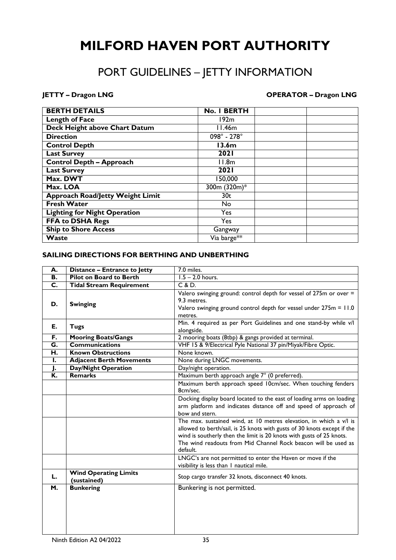## PORT GUIDELINES – JETTY INFORMATION

### **JETTY – Dragon LNG OPERATOR – Dragon LNG**

| <b>BERTH DETAILS</b>                    | No. I BERTH                    |  |
|-----------------------------------------|--------------------------------|--|
| <b>Length of Face</b>                   | 192m                           |  |
| Deck Height above Chart Datum           | 11.46m                         |  |
| <b>Direction</b>                        | $098^{\circ}$ - 278 $^{\circ}$ |  |
| <b>Control Depth</b>                    | 13.6m                          |  |
| <b>Last Survey</b>                      | 2021                           |  |
| <b>Control Depth - Approach</b>         | 11.8m                          |  |
| <b>Last Survey</b>                      | 2021                           |  |
| Max. DWT                                | 150,000                        |  |
| Max. LOA                                | 300m (320m)*                   |  |
| <b>Approach Road/Jetty Weight Limit</b> | 30 <sub>t</sub>                |  |
| <b>Fresh Water</b>                      | No                             |  |
| <b>Lighting for Night Operation</b>     | Yes                            |  |
| <b>FFA to DSHA Regs</b>                 | Yes                            |  |
| <b>Ship to Shore Access</b>             | Gangway                        |  |
| Waste                                   | Via barge**                    |  |

| А.                        | Distance - Entrance to Jetty                | 7.0 miles.                                                                                                                                                                                                                                                                                          |
|---------------------------|---------------------------------------------|-----------------------------------------------------------------------------------------------------------------------------------------------------------------------------------------------------------------------------------------------------------------------------------------------------|
| В.                        | <b>Pilot on Board to Berth</b>              | $1.5 - 2.0$ hours.                                                                                                                                                                                                                                                                                  |
| $\overline{\mathsf{C}}$ . | <b>Tidal Stream Requirement</b>             | C & D.                                                                                                                                                                                                                                                                                              |
| D.                        | <b>Swinging</b>                             | Valero swinging ground: control depth for vessel of 275m or over =<br>9.3 metres.<br>Valero swinging ground control depth for vessel under 275m = 11.0<br>metres.                                                                                                                                   |
| Е.                        | <b>Tugs</b>                                 | Min. 4 required as per Port Guidelines and one stand-by while v/l<br>alongside.                                                                                                                                                                                                                     |
| F.                        | <b>Mooring Boats/Gangs</b>                  | 2 mooring boats (8tbp) & gangs provided at terminal.                                                                                                                                                                                                                                                |
| G.                        | <b>Communications</b>                       | VHF 15 & 9/Electrical Pyle National 37 pin/Miyak/Fibre Optic.                                                                                                                                                                                                                                       |
| Η.                        | <b>Known Obstructions</b>                   | None known.                                                                                                                                                                                                                                                                                         |
| Ι.                        | <b>Adjacent Berth Movements</b>             | None during LNGC movements.                                                                                                                                                                                                                                                                         |
| J.                        | <b>Day/Night Operation</b>                  | Day/night operation.                                                                                                                                                                                                                                                                                |
| K.                        | <b>Remarks</b>                              | Maximum berth approach angle 7° (0 preferred).                                                                                                                                                                                                                                                      |
|                           |                                             | Maximum berth approach speed 10cm/sec. When touching fenders<br>8cm/sec.                                                                                                                                                                                                                            |
|                           |                                             | Docking display board located to the east of loading arms on loading<br>arm platform and indicates distance off and speed of approach of<br>bow and stern.                                                                                                                                          |
|                           |                                             | The max. sustained wind, at 10 metres elevation, in which a v/l is<br>allowed to berth/sail, is 25 knots with gusts of 30 knots except if the<br>wind is southerly then the limit is 20 knots with gusts of 25 knots.<br>The wind readouts from Mid Channel Rock beacon will be used as<br>default. |
|                           |                                             | LNGC's are not permitted to enter the Haven or move if the<br>visibility is less than I nautical mile.                                                                                                                                                                                              |
| L.                        | <b>Wind Operating Limits</b><br>(sustained) | Stop cargo transfer 32 knots, disconnect 40 knots.                                                                                                                                                                                                                                                  |
| М.                        | <b>Bunkering</b>                            | Bunkering is not permitted.                                                                                                                                                                                                                                                                         |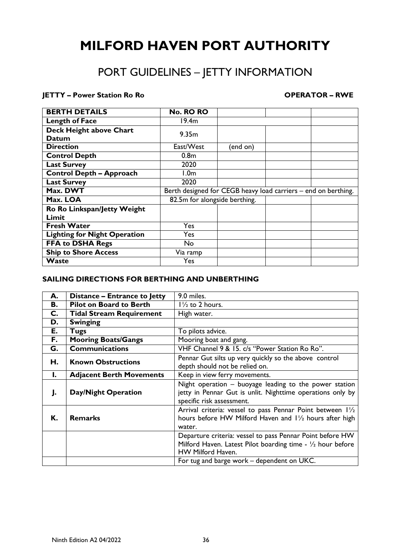## PORT GUIDELINES – JETTY INFORMATION

### **JETTY – Power Station Ro Ro OPERATOR – RWE**

| <b>BERTH DETAILS</b>                | No. RO RO                                                      |          |  |
|-------------------------------------|----------------------------------------------------------------|----------|--|
| <b>Length of Face</b>               | 19.4m                                                          |          |  |
| Deck Height above Chart             | 9.35m                                                          |          |  |
| Datum                               |                                                                |          |  |
| <b>Direction</b>                    | East/West                                                      | (end on) |  |
| <b>Control Depth</b>                | 0.8 <sub>m</sub>                                               |          |  |
| <b>Last Survey</b>                  | 2020                                                           |          |  |
| <b>Control Depth - Approach</b>     | 1.0 <sub>m</sub>                                               |          |  |
| <b>Last Survey</b>                  | 2020                                                           |          |  |
| Max. DWT                            | Berth designed for CEGB heavy load carriers - end on berthing. |          |  |
| Max. LOA                            | 82.5m for alongside berthing.                                  |          |  |
| Ro Ro Linkspan/Jetty Weight         |                                                                |          |  |
| Limit                               |                                                                |          |  |
| <b>Fresh Water</b>                  | Yes                                                            |          |  |
| <b>Lighting for Night Operation</b> | Yes                                                            |          |  |
| <b>FFA to DSHA Regs</b>             | No                                                             |          |  |
| <b>Ship to Shore Access</b>         | Via ramp                                                       |          |  |
| Waste                               | Yes                                                            |          |  |

| А. | Distance – Entrance to Jetty    | 9.0 miles.                                                                                                                                        |
|----|---------------------------------|---------------------------------------------------------------------------------------------------------------------------------------------------|
| В. | <b>Pilot on Board to Berth</b>  | $1\frac{1}{2}$ to 2 hours.                                                                                                                        |
| C. | <b>Tidal Stream Requirement</b> | High water.                                                                                                                                       |
| D. | <b>Swinging</b>                 |                                                                                                                                                   |
| Е. | Tugs                            | To pilots advice.                                                                                                                                 |
| F. | <b>Mooring Boats/Gangs</b>      | Mooring boat and gang.                                                                                                                            |
| G. | <b>Communications</b>           | VHF Channel 9 & 15. c/s "Power Station Ro Ro".                                                                                                    |
| Н. | <b>Known Obstructions</b>       | Pennar Gut silts up very quickly so the above control<br>depth should not be relied on.                                                           |
| I. | <b>Adjacent Berth Movements</b> | Keep in view ferry movements.                                                                                                                     |
| J. | <b>Day/Night Operation</b>      | Night operation - buoyage leading to the power station<br>jetty in Pennar Gut is unlit. Nighttime operations only by<br>specific risk assessment. |
| К. | <b>Remarks</b>                  | Arrival criteria: vessel to pass Pennar Point between 11/2<br>hours before HW Milford Haven and I1/2 hours after high<br>water.                   |
|    |                                 | Departure criteria: vessel to pass Pennar Point before HW<br>Milford Haven. Latest Pilot boarding time - 1/2 hour before<br>HW Milford Haven.     |
|    |                                 | For tug and barge work – dependent on UKC.                                                                                                        |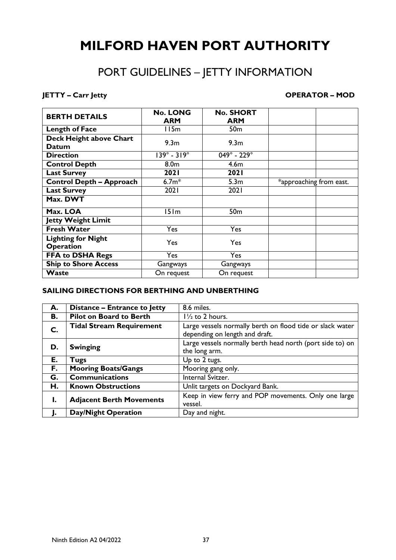## PORT GUIDELINES – JETTY INFORMATION

### **JETTY – Carr Jetty OPERATOR – MOD**

| <b>BERTH DETAILS</b>                          | <b>No. LONG</b><br>ARM      | <b>No. SHORT</b><br><b>ARM</b> |                         |
|-----------------------------------------------|-----------------------------|--------------------------------|-------------------------|
| <b>Length of Face</b>                         | 115m                        | 50 <sub>m</sub>                |                         |
| Deck Height above Chart<br>Datum              | 9.3 <sub>m</sub>            | 9.3 <sub>m</sub>               |                         |
| <b>Direction</b>                              | $139^{\circ} - 319^{\circ}$ | $049^\circ - 229^\circ$        |                         |
| <b>Control Depth</b>                          | 8.0 <sub>m</sub>            | 4.6 <sub>m</sub>               |                         |
| <b>Last Survey</b>                            | 2021                        | <b>2021</b>                    |                         |
| <b>Control Depth - Approach</b>               | $6.7m*$                     | 5.3 <sub>m</sub>               | *approaching from east. |
| <b>Last Survey</b>                            | 2021                        | 2021                           |                         |
| Max. DWT                                      |                             |                                |                         |
| Max. LOA                                      | 151m                        | 50 <sub>m</sub>                |                         |
| <b>Jetty Weight Limit</b>                     |                             |                                |                         |
| <b>Fresh Water</b>                            | Yes                         | Yes                            |                         |
| <b>Lighting for Night</b><br><b>Operation</b> | Yes                         | Yes                            |                         |
| <b>FFA to DSHA Regs</b>                       | Yes                         | Yes                            |                         |
| <b>Ship to Shore Access</b>                   | Gangways                    | Gangways                       |                         |
| Waste                                         | On request                  | On request                     |                         |

| А. | Distance - Entrance to Jetty    | 8.6 miles.                                                                                  |
|----|---------------------------------|---------------------------------------------------------------------------------------------|
| В. | <b>Pilot on Board to Berth</b>  | $1\frac{1}{2}$ to 2 hours.                                                                  |
| С. | <b>Tidal Stream Requirement</b> | Large vessels normally berth on flood tide or slack water<br>depending on length and draft. |
| D. | <b>Swinging</b>                 | Large vessels normally berth head north (port side to) on<br>the long arm.                  |
| Е. | <b>Tugs</b>                     | Up to 2 tugs.                                                                               |
| F. | <b>Mooring Boats/Gangs</b>      | Mooring gang only.                                                                          |
| G. | <b>Communications</b>           | Internal Svitzer.                                                                           |
| Η. | <b>Known Obstructions</b>       | Unlit targets on Dockyard Bank.                                                             |
| I. | <b>Adjacent Berth Movements</b> | Keep in view ferry and POP movements. Only one large<br>vessel.                             |
|    | <b>Day/Night Operation</b>      | Day and night.                                                                              |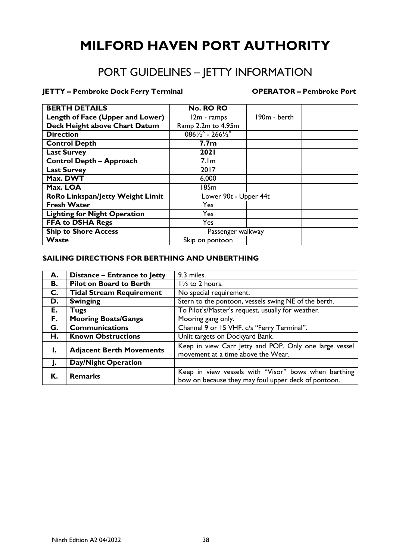## PORT GUIDELINES – JETTY INFORMATION

### **JETTY – Pembroke Dock Ferry Terminal OPERATOR – Pembroke Port**

| <b>BERTH DETAILS</b>                    | No. RO RO                                |              |
|-----------------------------------------|------------------------------------------|--------------|
| Length of Face (Upper and Lower)        | 12m - ramps                              | 190m - berth |
| Deck Height above Chart Datum           | Ramp 2.2m to 4.95m                       |              |
| <b>Direction</b>                        | $086\frac{1}{2}$ ° - 266 $\frac{1}{2}$ ° |              |
| <b>Control Depth</b>                    | 7.7 <sub>m</sub>                         |              |
| <b>Last Survey</b>                      | 202 I                                    |              |
| <b>Control Depth - Approach</b>         | 7.1 <sub>m</sub>                         |              |
| <b>Last Survey</b>                      | 2017                                     |              |
| Max. DWT                                | 6,000                                    |              |
| Max. LOA                                | 185m                                     |              |
| <b>RoRo Linkspan/Jetty Weight Limit</b> | Lower 90t - Upper 44t                    |              |
| <b>Fresh Water</b>                      | Yes                                      |              |
| <b>Lighting for Night Operation</b>     | Yes.                                     |              |
| <b>FFA to DSHA Regs</b>                 | <b>Yes</b>                               |              |
| <b>Ship to Shore Access</b>             | Passenger walkway                        |              |
| Waste                                   | Skip on pontoon                          |              |

| А. | Distance - Entrance to Jetty    | 9.3 miles.                                             |
|----|---------------------------------|--------------------------------------------------------|
| В. | <b>Pilot on Board to Berth</b>  | $1\frac{1}{2}$ to 2 hours.                             |
| C. | <b>Tidal Stream Requirement</b> | No special requirement.                                |
| D. | <b>Swinging</b>                 | Stern to the pontoon, vessels swing NE of the berth.   |
| Е. | <b>Tugs</b>                     | To Pilot's/Master's request, usually for weather.      |
| F. | <b>Mooring Boats/Gangs</b>      | Mooring gang only.                                     |
| G. | <b>Communications</b>           | Channel 9 or 15 VHF. c/s "Ferry Terminal".             |
| Н. | <b>Known Obstructions</b>       | Unlit targets on Dockyard Bank.                        |
| ı. |                                 | Keep in view Carr Jetty and POP. Only one large vessel |
|    | <b>Adjacent Berth Movements</b> | movement at a time above the Wear.                     |
|    | <b>Day/Night Operation</b>      |                                                        |
| К. | <b>Remarks</b>                  | Keep in view vessels with "Visor" bows when berthing   |
|    |                                 | bow on because they may foul upper deck of pontoon.    |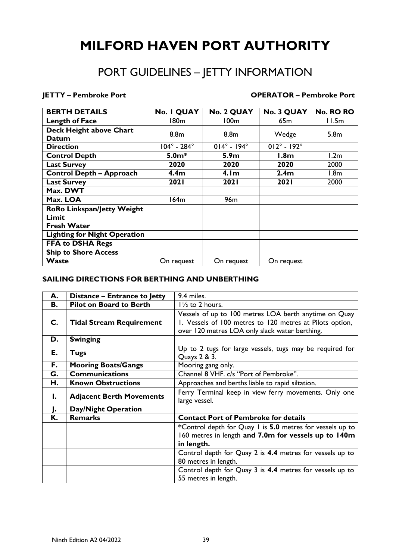## PORT GUIDELINES – JETTY INFORMATION

### **JETTY – Pembroke Port OPERATOR – Pembroke Port**

| <b>BERTH DETAILS</b>                | No. I QUAY                     | No. 2 QUAY                  | No. 3 QUAY                  | No. RO RO        |
|-------------------------------------|--------------------------------|-----------------------------|-----------------------------|------------------|
| <b>Length of Face</b>               | l 80m                          | 100 <sub>m</sub>            | 65 <sub>m</sub>             | 11.5m            |
| Deck Height above Chart<br>Datum    | 8.8 <sub>m</sub>               | 8.8 <sub>m</sub>            | Wedge                       | 5.8 <sub>m</sub> |
| <b>Direction</b>                    | $104^{\circ}$ - 284 $^{\circ}$ | $014^{\circ} - 194^{\circ}$ | $012^{\circ} - 192^{\circ}$ |                  |
| <b>Control Depth</b>                | 5.0 <sup>m</sup>               | 5.9 <sub>m</sub>            | 1.8 <sub>m</sub>            | l.2m             |
| <b>Last Survey</b>                  | 2020                           | 2020                        | 2020                        | 2000             |
| <b>Control Depth - Approach</b>     | 4.4 <sub>m</sub>               | 4.1 <sub>m</sub>            | 2.4 <sub>m</sub>            | 1.8 <sub>m</sub> |
| <b>Last Survey</b>                  | 2021                           | <b>2021</b>                 | <b>2021</b>                 | 2000             |
| Max. DWT                            |                                |                             |                             |                  |
| Max. LOA                            | l 64m                          | 96 <sub>m</sub>             |                             |                  |
| <b>RoRo Linkspan/Jetty Weight</b>   |                                |                             |                             |                  |
| Limit                               |                                |                             |                             |                  |
| <b>Fresh Water</b>                  |                                |                             |                             |                  |
| <b>Lighting for Night Operation</b> |                                |                             |                             |                  |
| <b>FFA</b> to DSHA Regs             |                                |                             |                             |                  |
| <b>Ship to Shore Access</b>         |                                |                             |                             |                  |
| <b>Waste</b>                        | On request                     | On request                  | On request                  |                  |

| А. | Distance - Entrance to Jetty    | 9.4 miles.                                                                                                                                                          |
|----|---------------------------------|---------------------------------------------------------------------------------------------------------------------------------------------------------------------|
| В. | <b>Pilot on Board to Berth</b>  | $1\frac{1}{2}$ to 2 hours.                                                                                                                                          |
| C. | <b>Tidal Stream Requirement</b> | Vessels of up to 100 metres LOA berth anytime on Quay<br>I. Vessels of 100 metres to 120 metres at Pilots option,<br>over 120 metres LOA only slack water berthing. |
| D. | <b>Swinging</b>                 |                                                                                                                                                                     |
| Е. | <b>Tugs</b>                     | Up to 2 tugs for large vessels, tugs may be required for<br>Quays 2 & 3.                                                                                            |
| F. | <b>Mooring Boats/Gangs</b>      | Mooring gang only.                                                                                                                                                  |
| G. | <b>Communications</b>           | Channel 8 VHF. c/s "Port of Pembroke".                                                                                                                              |
| Н. | <b>Known Obstructions</b>       | Approaches and berths liable to rapid siltation.                                                                                                                    |
| I. | <b>Adjacent Berth Movements</b> | Ferry Terminal keep in view ferry movements. Only one<br>large vessel.                                                                                              |
| J. | <b>Day/Night Operation</b>      |                                                                                                                                                                     |
| К. | <b>Remarks</b>                  | <b>Contact Port of Pembroke for details</b>                                                                                                                         |
|    |                                 | *Control depth for Quay I is 5.0 metres for vessels up to<br>160 metres in length and 7.0m for vessels up to 140m<br>in length.                                     |
|    |                                 | Control depth for Quay 2 is 4.4 metres for vessels up to<br>80 metres in length.                                                                                    |
|    |                                 | Control depth for Quay 3 is 4.4 metres for vessels up to<br>55 metres in length.                                                                                    |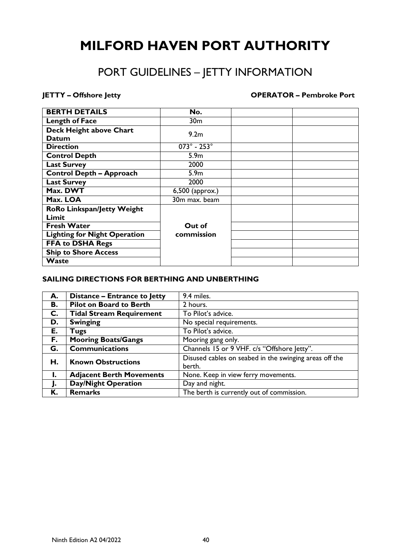## PORT GUIDELINES – JETTY INFORMATION

### **JETTY – Offshore Jetty OPERATOR – Pembroke Port**

| <b>BERTH DETAILS</b>                | No.                            |  |
|-------------------------------------|--------------------------------|--|
| <b>Length of Face</b>               | 30 <sub>m</sub>                |  |
| Deck Height above Chart             | 9.2 <sub>m</sub>               |  |
| Datum                               |                                |  |
| <b>Direction</b>                    | $073^{\circ}$ - 253 $^{\circ}$ |  |
| <b>Control Depth</b>                | 5.9 <sub>m</sub>               |  |
| <b>Last Survey</b>                  | 2000                           |  |
| <b>Control Depth - Approach</b>     | 5.9 <sub>m</sub>               |  |
| <b>Last Survey</b>                  | 2000                           |  |
| Max. DWT                            | $\overline{6}$ ,500 (approx.)  |  |
| Max. LOA                            | 30m max. beam                  |  |
| RoRo Linkspan/Jetty Weight          |                                |  |
| Limit                               |                                |  |
| <b>Fresh Water</b>                  | Out of                         |  |
| <b>Lighting for Night Operation</b> | commission                     |  |
| <b>FFA to DSHA Regs</b>             |                                |  |
| <b>Ship to Shore Access</b>         |                                |  |
| Waste                               |                                |  |

| А.        | Distance - Entrance to Jetty    | 9.4 miles.                                             |
|-----------|---------------------------------|--------------------------------------------------------|
| В.        | <b>Pilot on Board to Berth</b>  | 2 hours.                                               |
| C.        | <b>Tidal Stream Requirement</b> | To Pilot's advice.                                     |
| D.        | <b>Swinging</b>                 | No special requirements.                               |
| Е.        | Tugs                            | To Pilot's advice.                                     |
| F.        | <b>Mooring Boats/Gangs</b>      | Mooring gang only.                                     |
| G.        | <b>Communications</b>           | Channels 15 or 9 VHF. c/s "Offshore Jetty".            |
| Н.        | <b>Known Obstructions</b>       | Disused cables on seabed in the swinging areas off the |
|           |                                 | berth.                                                 |
| <b>I.</b> | <b>Adjacent Berth Movements</b> | None. Keep in view ferry movements.                    |
|           | <b>Day/Night Operation</b>      | Day and night.                                         |
| К.        | <b>Remarks</b>                  | The berth is currently out of commission.              |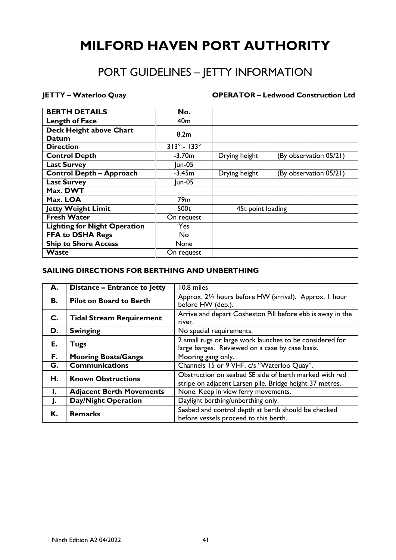## PORT GUIDELINES – JETTY INFORMATION

### **JETTY – Waterloo Quay OPERATOR – Ledwood Construction Ltd**

| <b>BERTH DETAILS</b>                | No.                         |                   |                        |
|-------------------------------------|-----------------------------|-------------------|------------------------|
| <b>Length of Face</b>               | 40 <sub>m</sub>             |                   |                        |
| Deck Height above Chart             | 8.2 <sub>m</sub>            |                   |                        |
| <b>Datum</b>                        |                             |                   |                        |
| <b>Direction</b>                    | $313^{\circ} - 133^{\circ}$ |                   |                        |
| <b>Control Depth</b>                | $-3.70m$                    | Drying height     | (By observation 05/21) |
| <b>Last Survey</b>                  | $ un-05 $                   |                   |                        |
| <b>Control Depth - Approach</b>     | $-3.45m$                    | Drying height     | (By observation 05/21) |
| <b>Last Survey</b>                  | Jun-05                      |                   |                        |
| Max. DWT                            |                             |                   |                        |
| Max. LOA                            | 79 <sub>m</sub>             |                   |                        |
| <b>Jetty Weight Limit</b>           | 500t                        | 45t point loading |                        |
| <b>Fresh Water</b>                  | On request                  |                   |                        |
| <b>Lighting for Night Operation</b> | Yes                         |                   |                        |
| <b>FFA to DSHA Regs</b>             | No                          |                   |                        |
| <b>Ship to Shore Access</b>         | None                        |                   |                        |
| Waste                               | On request                  |                   |                        |

| А. | Distance - Entrance to Jetty                                           | 10.8 miles                                                                                                         |
|----|------------------------------------------------------------------------|--------------------------------------------------------------------------------------------------------------------|
| В. | <b>Pilot on Board to Berth</b>                                         | Approx. 21/2 hours before HW (arrival). Approx. 1 hour<br>before HW (dep.).                                        |
| C. | <b>Tidal Stream Requirement</b>                                        | Arrive and depart Cosheston Pill before ebb is away in the<br>river.                                               |
| D. | <b>Swinging</b>                                                        | No special requirements.                                                                                           |
| Е. | <b>Tugs</b>                                                            | 2 small tugs or large work launches to be considered for<br>large barges. Reviewed on a case by case basis.        |
| F. | <b>Mooring Boats/Gangs</b><br>Mooring gang only.                       |                                                                                                                    |
| G. | <b>Communications</b>                                                  | Channels 15 or 9 VHF. c/s "Waterloo Quay".                                                                         |
| Η. | <b>Known Obstructions</b>                                              | Obstruction on seabed SE side of berth marked with red<br>stripe on adjacent Larsen pile. Bridge height 37 metres. |
| ı. | None. Keep in view ferry movements.<br><b>Adjacent Berth Movements</b> |                                                                                                                    |
| J. | <b>Day/Night Operation</b><br>Daylight berthing/unberthing only.       |                                                                                                                    |
| К. | <b>Remarks</b>                                                         | Seabed and control depth at berth should be checked<br>before vessels proceed to this berth.                       |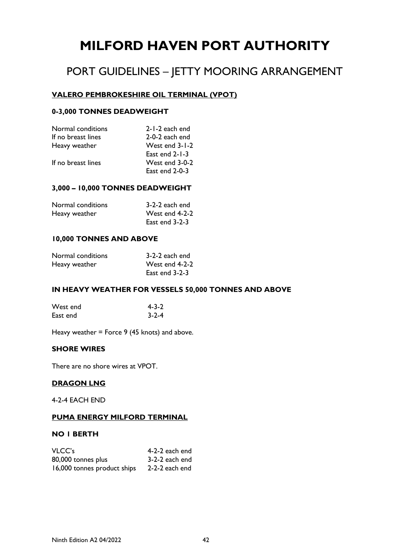### PORT GUIDELINES – JETTY MOORING ARRANGEMENT

### **VALERO PEMBROKESHIRE OIL TERMINAL (VPOT)**

### **0-3,000 TONNES DEADWEIGHT**

| Normal conditions  | 2-1-2 each end   |
|--------------------|------------------|
| If no breast lines | 2-0-2 each end   |
| Heavy weather      | West end 3-1-2   |
|                    | East end $2-1-3$ |
| If no breast lines | West end 3-0-2   |
|                    | East end 2-0-3   |

### **3,000 – 10,000 TONNES DEADWEIGHT**

| Normal conditions | 3-2-2 each end   |
|-------------------|------------------|
| Heavy weather     | West end 4-2-2   |
|                   | East end $3-2-3$ |

### **10,000 TONNES AND ABOVE**

| Normal conditions | 3-2-2 each end   |
|-------------------|------------------|
| Heavy weather     | West end 4-2-2   |
|                   | East end $3-2-3$ |

### **IN HEAVY WEATHER FOR VESSELS 50,000 TONNES AND ABOVE**

| West end | $4 - 3 - 2$ |
|----------|-------------|
| East end | $3 - 2 - 4$ |

Heavy weather  $=$  Force 9 (45 knots) and above.

### **SHORE WIRES**

There are no shore wires at VPOT.

### **DRAGON LNG**

4-2-4 EACH END

### **PUMA ENERGY MILFORD TERMINAL**

### **NO 1 BERTH**

| VLCC's                      | $4-2-2$ each end |
|-----------------------------|------------------|
| 80,000 tonnes plus          | $3-2-2$ each end |
| 16,000 tonnes product ships | 2-2-2 each end   |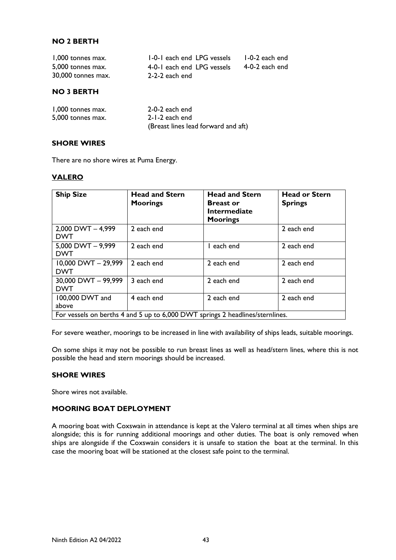### **NO 2 BERTH**

| 1,000 tonnes max.  | 1-0-1 each end LPG vessels | 1-0-2 each end |
|--------------------|----------------------------|----------------|
| 5,000 tonnes max.  | 4-0-1 each end LPG vessels | 4-0-2 each end |
| 30,000 tonnes max. | 2-2-2 each end             |                |

### **NO 3 BERTH**

| 1,000 tonnes max. | 2-0-2 each end                      |
|-------------------|-------------------------------------|
| 5,000 tonnes max. | 2-1-2 each end                      |
|                   | (Breast lines lead forward and aft) |

### **SHORE WIRES**

There are no shore wires at Puma Energy.

### **VALERO**

| <b>Ship Size</b>                                                              | <b>Head and Stern</b><br><b>Moorings</b> | <b>Head and Stern</b><br><b>Breast or</b><br><b>Intermediate</b><br><b>Moorings</b> | <b>Head or Stern</b><br><b>Springs</b> |
|-------------------------------------------------------------------------------|------------------------------------------|-------------------------------------------------------------------------------------|----------------------------------------|
| $2,000$ DWT $-4,999$<br><b>DWT</b>                                            | 2 each end                               |                                                                                     | 2 each end                             |
| $5,000$ DWT $-9,999$<br><b>DWT</b>                                            | 2 each end                               | I each end                                                                          | 2 each end                             |
| $10,000$ DWT $- 29,999$<br><b>DWT</b>                                         | 2 each end                               | 2 each end                                                                          | 2 each end                             |
| 30,000 DWT - 99,999<br><b>DWT</b>                                             | 3 each end                               | 2 each end                                                                          | 2 each end                             |
| 100,000 DWT and<br>above                                                      | 4 each end                               | 2 each end                                                                          | 2 each end                             |
| For vessels on berths 4 and 5 up to 6,000 DWT springs 2 headlines/sternlines. |                                          |                                                                                     |                                        |

For severe weather, moorings to be increased in line with availability of ships leads, suitable moorings.

On some ships it may not be possible to run breast lines as well as head/stern lines, where this is not possible the head and stern moorings should be increased.

### **SHORE WIRES**

Shore wires not available.

### **MOORING BOAT DEPLOYMENT**

A mooring boat with Coxswain in attendance is kept at the Valero terminal at all times when ships are alongside; this is for running additional moorings and other duties. The boat is only removed when ships are alongside if the Coxswain considers it is unsafe to station the boat at the terminal. In this case the mooring boat will be stationed at the closest safe point to the terminal.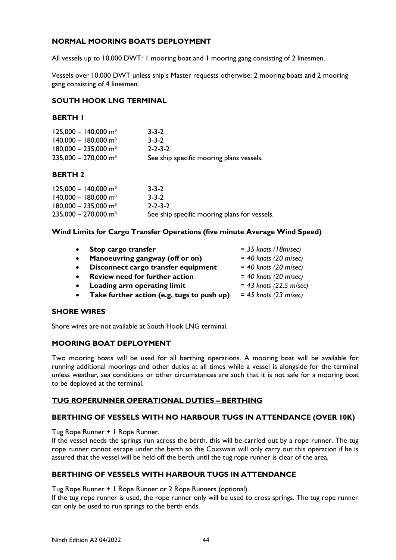### **NORMAL MOORING BOATS DEPLOYMENT**

All vessels up to 10,000 DWT: 1 mooring boat and 1 mooring gang consisting of 2 linesmen.

Vessels over 10,000 DWT unless ship's Master requests otherwise: 2 mooring boats and 2 mooring gang consisting of 4 linesmen.

#### **SOUTH HOOK LNG TERMINAL**

#### **BERTH 1**

| $125,000 - 140,000$ m <sup>3</sup> | $3 - 3 - 2$                              |
|------------------------------------|------------------------------------------|
| $140,000 - 180,000$ m <sup>3</sup> | $3 - 3 - 2$                              |
| $180,000 - 235,000$ m <sup>3</sup> | $2 - 2 - 3 - 2$                          |
| $235,000 - 270,000$ m <sup>3</sup> | See ship specific mooring plans vessels. |

### **BERTH 2**

| $125,000 - 140,000$ m <sup>3</sup> | $3 - 3 - 2$                                  |
|------------------------------------|----------------------------------------------|
| $140,000 - 180,000$ m <sup>3</sup> | $3 - 3 - 2$                                  |
| $180,000 - 235,000$ m <sup>3</sup> | $2 - 2 - 3 - 2$                              |
| $235,000 - 270,000$ m <sup>3</sup> | See ship specific mooring plans for vessels. |

### **Wind Limits for Cargo Transfer Operations (five minute Average Wind Speed)**

| $\bullet$ | Stop cargo transfer                        | $=$ 35 knots (18m/sec)    |
|-----------|--------------------------------------------|---------------------------|
| $\bullet$ | Manoeuvring gangway (off or on)            | $=$ 40 knots (20 m/sec)   |
|           |                                            |                           |
| $\bullet$ | Disconnect cargo transfer equipment        | $=$ 40 knots (20 m/sec)   |
| $\bullet$ | <b>Review need for further action</b>      | $=$ 40 knots (20 m/sec)   |
| $\bullet$ | Loading arm operating limit                | $= 43$ knots (22.5 m/sec) |
| $\bullet$ | Take further action (e.g. tugs to push up) | $= 45$ knots (23 m/sec)   |
|           |                                            |                           |

### **SHORE WIRES**

Shore wires are not available at South Hook LNG terminal.

### **MOORING BOAT DEPLOYMENT**

Two mooring boats will be used for all berthing operations. A mooring boat will be available for running additional moorings and other duties at all times while a vessel is alongside for the terminal unless weather, sea conditions or other circumstances are such that it is not safe for a mooring boat to be deployed at the terminal.

### **TUG ROPERUNNER OPERATIONAL DUTIES – BERTHING**

### **BERTHING OF VESSELS WITH NO HARBOUR TUGS IN ATTENDANCE (OVER 10K)**

Tug Rope Runner + 1 Rope Runner.

If the vessel needs the springs run across the berth, this will be carried out by a rope runner. The tug rope runner cannot escape under the berth so the Coxswain will only carry out this operation if he is assured that the vessel will be held off the berth until the tug rope runner is clear of the area.

### **BERTHING OF VESSELS WITH HARBOUR TUGS IN ATTENDANCE**

Tug Rope Runner + 1 Rope Runner or 2 Rope Runners (optional).

If the tug rope runner is used, the rope runner only will be used to cross springs. The tug rope runner can only be used to run springs to the berth ends.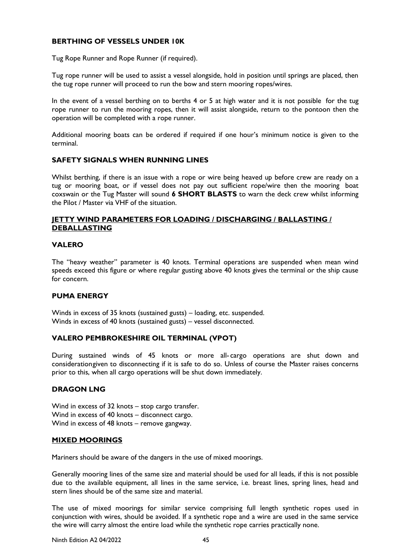### **BERTHING OF VESSELS UNDER 10K**

Tug Rope Runner and Rope Runner (if required).

Tug rope runner will be used to assist a vessel alongside, hold in position until springs are placed, then the tug rope runner will proceed to run the bow and stern mooring ropes/wires.

In the event of a vessel berthing on to berths 4 or 5 at high water and it is not possible for the tug rope runner to run the mooring ropes, then it will assist alongside, return to the pontoon then the operation will be completed with a rope runner.

Additional mooring boats can be ordered if required if one hour's minimum notice is given to the terminal.

### **SAFETY SIGNALS WHEN RUNNING LINES**

Whilst berthing, if there is an issue with a rope or wire being heaved up before crew are ready on a tug or mooring boat, or if vessel does not pay out sufficient rope/wire then the mooring boat coxswain or the Tug Master will sound **6 SHORT BLASTS** to warn the deck crew whilst informing the Pilot / Master via VHF of the situation.

### **JETTY WIND PARAMETERS FOR LOADING / DISCHARGING / BALLASTING / DEBALLASTING**

### **VALERO**

The "heavy weather" parameter is 40 knots. Terminal operations are suspended when mean wind speeds exceed this figure or where regular gusting above 40 knots gives the terminal or the ship cause for concern.

### **PUMA ENERGY**

Winds in excess of 35 knots (sustained gusts) – loading, etc. suspended. Winds in excess of 40 knots (sustained gusts) – vessel disconnected.

### **VALERO PEMBROKESHIRE OIL TERMINAL (VPOT)**

During sustained winds of 45 knots or more all- cargo operations are shut down and considerationgiven to disconnecting if it is safe to do so. Unless of course the Master raises concerns prior to this, when all cargo operations will be shut down immediately.

### **DRAGON LNG**

Wind in excess of 32 knots – stop cargo transfer. Wind in excess of 40 knots – disconnect cargo. Wind in excess of 48 knots – remove gangway.

### **MIXED MOORINGS**

Mariners should be aware of the dangers in the use of mixed moorings.

Generally mooring lines of the same size and material should be used for all leads, if this is not possible due to the available equipment, all lines in the same service, i.e. breast lines, spring lines, head and stern lines should be of the same size and material.

The use of mixed moorings for similar service comprising full length synthetic ropes used in conjunction with wires, should be avoided. If a synthetic rope and a wire are used in the same service the wire will carry almost the entire load while the synthetic rope carries practically none.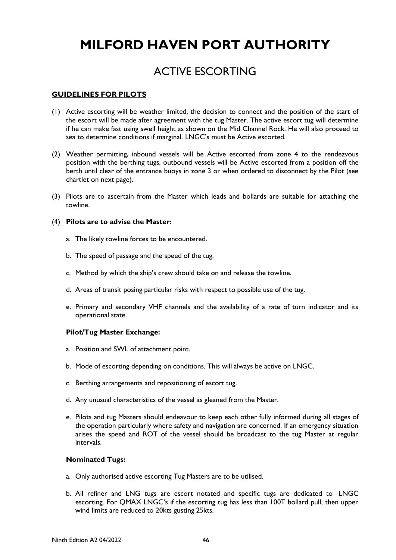### ACTIVE ESCORTING

### <span id="page-45-0"></span>**GUIDELINES FOR PILOTS**

- (1) Active escorting will be weather limited, the decision to connect and the position of the start of the escort will be made after agreement with the tug Master. The active escort tug will determine if he can make fast using swell height as shown on the Mid Channel Rock. He will also proceed to sea to determine conditions if marginal. LNGC's must be Active escorted.
- (2) Weather permitting, inbound vessels will be Active escorted from zone 4 to the rendezvous position with the berthing tugs, outbound vessels will be Active escorted from a position off the berth until clear of the entrance buoys in zone 3 or when ordered to disconnect by the Pilot (see chartlet on next page).
- (3) Pilots are to ascertain from the Master which leads and bollards are suitable for attaching the towline.

#### (4) **Pilots are to advise the Master:**

- a. The likely towline forces to be encountered.
- b. The speed of passage and the speed of the tug.
- c. Method by which the ship's crew should take on and release the towline.
- d. Areas of transit posing particular risks with respect to possible use of the tug.
- e. Primary and secondary VHF channels and the availability of a rate of turn indicator and its operational state.

### **Pilot/Tug Master Exchange:**

- a. Position and SWL of attachment point.
- b. Mode of escorting depending on conditions. This will always be active on LNGC.
- c. Berthing arrangements and repositioning of escort tug.
- d. Any unusual characteristics of the vessel as gleaned from the Master.
- e. Pilots and tug Masters should endeavour to keep each other fully informed during all stages of the operation particularly where safety and navigation are concerned. If an emergency situation arises the speed and ROT of the vessel should be broadcast to the tug Master at regular intervals.

### **Nominated Tugs:**

- a. Only authorised active escorting Tug Masters are to be utilised.
- b. All refiner and LNG tugs are escort notated and specific tugs are dedicated to LNGC escorting. For QMAX LNGC's if the escorting tug has less than 100T bollard pull, then upper wind limits are reduced to 20kts gusting 25kts.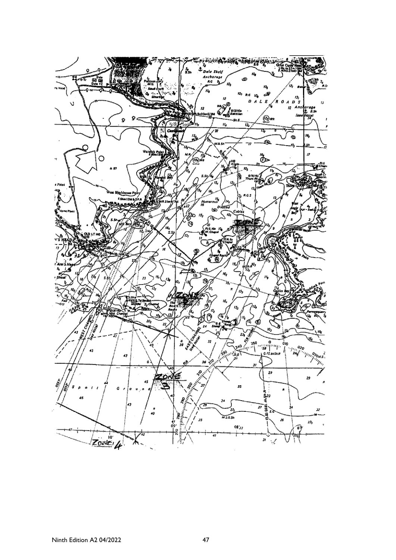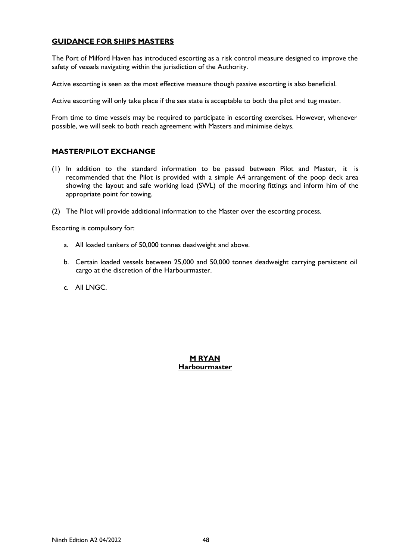### **GUIDANCE FOR SHIPS MASTERS**

The Port of Milford Haven has introduced escorting as a risk control measure designed to improve the safety of vessels navigating within the jurisdiction of the Authority.

Active escorting is seen as the most effective measure though passive escorting is also beneficial.

Active escorting will only take place if the sea state is acceptable to both the pilot and tug master.

From time to time vessels may be required to participate in escorting exercises. However, whenever possible, we will seek to both reach agreement with Masters and minimise delays.

### **MASTER/PILOT EXCHANGE**

- (1) In addition to the standard information to be passed between Pilot and Master, it is recommended that the Pilot is provided with a simple A4 arrangement of the poop deck area showing the layout and safe working load (SWL) of the mooring fittings and inform him of the appropriate point for towing.
- (2) The Pilot will provide additional information to the Master over the escorting process.

Escorting is compulsory for:

- a. All loaded tankers of 50,000 tonnes deadweight and above.
- b. Certain loaded vessels between 25,000 and 50,000 tonnes deadweight carrying persistent oil cargo at the discretion of the Harbourmaster.
- c. All LNGC.

### **M RYAN Harbourmaster**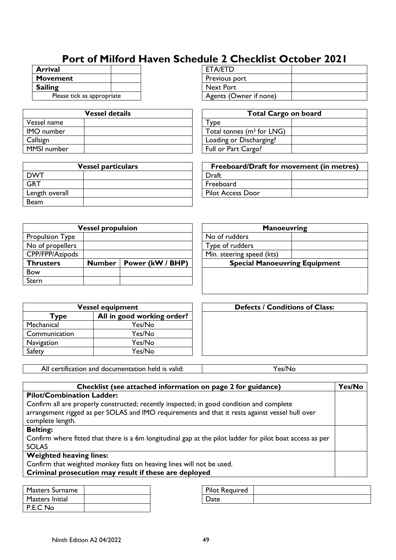### **Port of Milford Haven Schedule 2 Checklist October 2021**

| <b>Arrival</b>             | ETA/ETD                |
|----------------------------|------------------------|
| <b>Movement</b>            | Previous port          |
| <b>Sailing</b>             | Next Port              |
| Please tick as appropriate | Agents (Owner if none) |

| <b>Vessel details</b> |  | <b>Total Cargo</b>           |
|-----------------------|--|------------------------------|
| Vessel name           |  | v <sub>De</sub>              |
| IMO number            |  | Total tonnes ( $m3$ for LNG) |
| Callsign              |  | Loading or Discharging?      |
| MMSI number           |  | Full or Part Cargo?          |

| <b>Vessel particulars</b> | <b>Freeboard/Dra</b>     |
|---------------------------|--------------------------|
| <b>DWT</b>                | Draft                    |
| <b>GRT</b>                | Freeboard                |
| Length overall            | <b>Pilot Access Door</b> |
| <b>Beam</b>               |                          |

| ETA/ETD                |  |
|------------------------|--|
| Previous port          |  |
| Next Port              |  |
| Agents (Owner if none) |  |

| <b>Vessel details</b> | <b>Total Cargo on board</b>  |  |
|-----------------------|------------------------------|--|
|                       | ' ype                        |  |
|                       | Total tonnes $(m^3$ for LNG) |  |
|                       | Loading or Discharging?      |  |
|                       | Full or Part Cargo?          |  |

| <b>Vessel particulars</b> | Freeboard/Draft for movement (in metres) |  |  |
|---------------------------|------------------------------------------|--|--|
| Draft                     |                                          |  |  |
| Freeboard                 |                                          |  |  |
| <b>Pilot Access Door</b>  |                                          |  |  |

| <b>Vessel propulsion</b> |               | <b>Manoeuvring</b> |                                      |  |
|--------------------------|---------------|--------------------|--------------------------------------|--|
| <b>Propulsion Type</b>   |               |                    | No of rudders                        |  |
| No of propellers         |               |                    | Type of rudders                      |  |
| CPP/FPP/Azipods          |               |                    | Min. steering speed (kts)            |  |
| <b>Thrusters</b>         | <b>Number</b> | Power (kW / BHP)   | <b>Special Manoeuvring Equipment</b> |  |
| Bow                      |               |                    |                                      |  |
| Stern                    |               |                    |                                      |  |

| <b>Manoeuvring</b>                   |  |  |
|--------------------------------------|--|--|
| No of rudders                        |  |  |
| Type of rudders                      |  |  |
| Min. steering speed (kts)            |  |  |
| <b>Special Manoeuvring Equipment</b> |  |  |
|                                      |  |  |
|                                      |  |  |

| <b>Vessel equipment</b> |                            | <b>Defects / Conditions of Class:</b> |
|-------------------------|----------------------------|---------------------------------------|
| Type                    | All in good working order? |                                       |
| Mechanical              | Yes/No                     |                                       |
| Communication           | Yes/No                     |                                       |
| Navigation              | Yes/No                     |                                       |
| <b>Safety</b>           | Yes/No                     |                                       |

| Гуре        | All in good working order?                         |
|-------------|----------------------------------------------------|
| hanical     | Yes/No                                             |
| nmunication | Yes/No                                             |
| gation      | Yes/No                                             |
|             | Yes/No                                             |
|             |                                                    |
|             | All certification and documentation held is valid: |

| Checklist (see attached information on page 2 for guidance)                                               | Yes/No |
|-----------------------------------------------------------------------------------------------------------|--------|
| <b>Pilot/Combination Ladder:</b>                                                                          |        |
| Confirm all are properly constructed; recently inspected; in good condition and complete                  |        |
| arrangement rigged as per SOLAS and IMO requirements and that it rests against vessel hull over           |        |
| complete length.                                                                                          |        |
| <b>Belting:</b>                                                                                           |        |
| Confirm where fitted that there is a 6m longitudinal gap at the pilot ladder for pilot boat access as per |        |
| <b>SOLAS</b>                                                                                              |        |
| <b>Weighted heaving lines:</b>                                                                            |        |
| Confirm that weighted monkey fists on heaving lines will not be used.                                     |        |
| Criminal prosecution may result if these are deployed                                                     |        |

| Masters Surname |  | Pilot Required |
|-----------------|--|----------------|
| Masters Initial |  | Date           |
| P.E.C No        |  |                |

| Pilot Required |  |
|----------------|--|
| Date           |  |